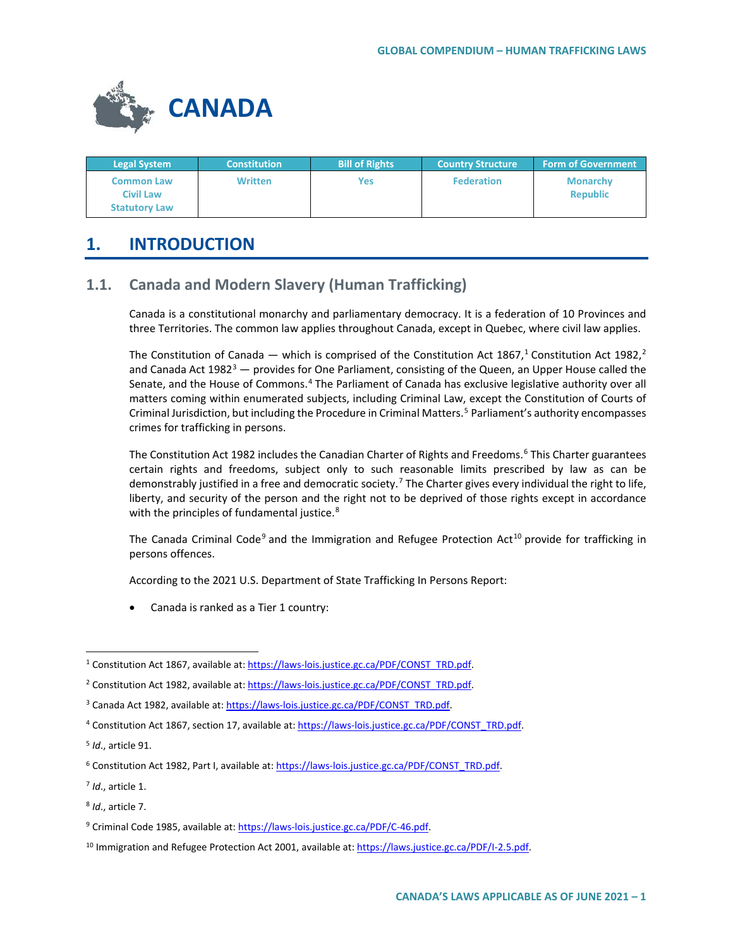

| <b>Legal System</b>                                           | <b>Constitution</b> | <b>Bill of Rights</b> | <b>Country Structure</b> | <b>Form of Government</b>          |
|---------------------------------------------------------------|---------------------|-----------------------|--------------------------|------------------------------------|
| <b>Common Law</b><br><b>Civil Law</b><br><b>Statutory Law</b> | Written             | Yes                   | <b>Federation</b>        | <b>Monarchy</b><br><b>Republic</b> |

# **1. INTRODUCTION**

## **1.1. Canada and Modern Slavery (Human Trafficking)**

Canada is a constitutional monarchy and parliamentary democracy. It is a federation of 10 Provinces and three Territories. The common law applies throughout Canada, except in Quebec, where civil law applies.

The Constitution of Canada — which is comprised of the Constitution Act [1](#page-0-0)867,<sup>1</sup> Constitution Act 198[2](#page-0-1),<sup>2</sup> and Canada Act  $1982<sup>3</sup>$  $1982<sup>3</sup>$  $1982<sup>3</sup>$  — provides for One Parliament, consisting of the Queen, an Upper House called the Senate, and the House of Commons.<sup>[4](#page-0-3)</sup> The Parliament of Canada has exclusive legislative authority over all matters coming within enumerated subjects, including Criminal Law, except the Constitution of Courts of Criminal Jurisdiction, but including the Procedure in Criminal Matters.<sup>[5](#page-0-4)</sup> Parliament's authority encompasses crimes for trafficking in persons.

The Constitution Act 1982 includes the Canadian Charter of Rights and Freedoms.<sup>[6](#page-0-5)</sup> This Charter guarantees certain rights and freedoms, subject only to such reasonable limits prescribed by law as can be demonstrably justified in a free and democratic society.<sup>[7](#page-0-6)</sup> The Charter gives every individual the right to life, liberty, and security of the person and the right not to be deprived of those rights except in accordance with the principles of fundamental justice.<sup>[8](#page-0-7)</sup>

The Canada Criminal Code<sup>[9](#page-0-8)</sup> and the Immigration and Refugee Protection Act<sup>[10](#page-0-9)</sup> provide for trafficking in persons offences.

According to the 2021 U.S. Department of State Trafficking In Persons Report:

• Canada is ranked as a Tier 1 country:

<span id="page-0-0"></span><sup>&</sup>lt;sup>1</sup> Constitution Act 1867, available at[: https://laws-lois.justice.gc.ca/PDF/CONST\\_TRD.pdf.](https://laws-lois.justice.gc.ca/PDF/CONST_TRD.pdf)

<span id="page-0-1"></span><sup>&</sup>lt;sup>2</sup> Constitution Act 1982, available at[: https://laws-lois.justice.gc.ca/PDF/CONST\\_TRD.pdf.](https://laws-lois.justice.gc.ca/PDF/CONST_TRD.pdf)

<span id="page-0-2"></span><sup>&</sup>lt;sup>3</sup> Canada Act 1982, available at[: https://laws-lois.justice.gc.ca/PDF/CONST\\_TRD.pdf.](https://laws-lois.justice.gc.ca/PDF/CONST_TRD.pdf)

<span id="page-0-3"></span><sup>4</sup> Constitution Act 1867, section 17, available at: [https://laws-lois.justice.gc.ca/PDF/CONST\\_TRD.pdf.](https://laws-lois.justice.gc.ca/PDF/CONST_TRD.pdf) 

<span id="page-0-4"></span><sup>5</sup> *Id*., article 91.

<span id="page-0-5"></span><sup>&</sup>lt;sup>6</sup> Constitution Act 1982, Part I, available at: [https://laws-lois.justice.gc.ca/PDF/CONST\\_TRD.pdf.](https://laws-lois.justice.gc.ca/PDF/CONST_TRD.pdf)

<span id="page-0-6"></span><sup>7</sup> *Id*., article 1.

<span id="page-0-7"></span><sup>8</sup> *Id*., article 7.

<span id="page-0-8"></span><sup>9</sup> Criminal Code 1985, available at: [https://laws-lois.justice.gc.ca/PDF/C-46.pdf.](https://laws-lois.justice.gc.ca/PDF/C-46.pdf)

<span id="page-0-9"></span><sup>&</sup>lt;sup>10</sup> Immigration and Refugee Protection Act 2001, available at[: https://laws.justice.gc.ca/PDF/I-2.5.pdf.](https://laws.justice.gc.ca/PDF/I-2.5.pdf)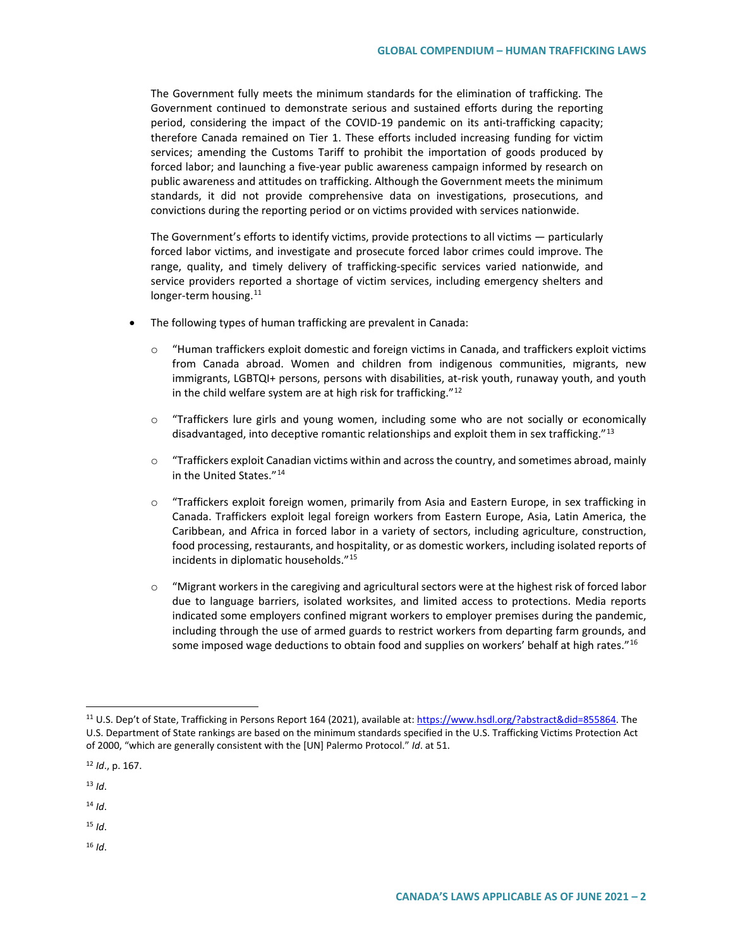The Government fully meets the minimum standards for the elimination of trafficking. The Government continued to demonstrate serious and sustained efforts during the reporting period, considering the impact of the COVID-19 pandemic on its anti-trafficking capacity; therefore Canada remained on Tier 1. These efforts included increasing funding for victim services; amending the Customs Tariff to prohibit the importation of goods produced by forced labor; and launching a five-year public awareness campaign informed by research on public awareness and attitudes on trafficking. Although the Government meets the minimum standards, it did not provide comprehensive data on investigations, prosecutions, and convictions during the reporting period or on victims provided with services nationwide.

The Government's efforts to identify victims, provide protections to all victims — particularly forced labor victims, and investigate and prosecute forced labor crimes could improve. The range, quality, and timely delivery of trafficking-specific services varied nationwide, and service providers reported a shortage of victim services, including emergency shelters and longer-term housing.<sup>[11](#page-1-0)</sup>

- The following types of human trafficking are prevalent in Canada:
	- "Human traffickers exploit domestic and foreign victims in Canada, and traffickers exploit victims from Canada abroad. Women and children from indigenous communities, migrants, new immigrants, LGBTQI+ persons, persons with disabilities, at-risk youth, runaway youth, and youth in the child welfare system are at high risk for trafficking."[12](#page-1-1)
	- $\circ$  "Traffickers lure girls and young women, including some who are not socially or economically disadvantaged, into deceptive romantic relationships and exploit them in sex trafficking."<sup>[13](#page-1-2)</sup>
	- $\circ$  "Traffickers exploit Canadian victims within and across the country, and sometimes abroad, mainly in the United States."[14](#page-1-3)
	- o "Traffickers exploit foreign women, primarily from Asia and Eastern Europe, in sex trafficking in Canada. Traffickers exploit legal foreign workers from Eastern Europe, Asia, Latin America, the Caribbean, and Africa in forced labor in a variety of sectors, including agriculture, construction, food processing, restaurants, and hospitality, or as domestic workers, including isolated reports of incidents in diplomatic households."[15](#page-1-4)
	- $\circ$  "Migrant workers in the caregiving and agricultural sectors were at the highest risk of forced labor due to language barriers, isolated worksites, and limited access to protections. Media reports indicated some employers confined migrant workers to employer premises during the pandemic, including through the use of armed guards to restrict workers from departing farm grounds, and some imposed wage deductions to obtain food and supplies on workers' behalf at high rates."<sup>[16](#page-1-5)</sup>

<span id="page-1-1"></span><sup>12</sup> *Id*., p. 167.

<span id="page-1-2"></span> $13$  *Id.* 

<span id="page-1-3"></span><sup>14</sup> *Id*.

- <span id="page-1-4"></span> $15$  *Id.*
- <span id="page-1-5"></span> $16$  *Id.*

<span id="page-1-0"></span> <sup>11</sup> U.S. Dep't of State, Trafficking in Persons Report 164 (2021), available at[: https://www.hsdl.org/?abstract&did=855864.](https://www.hsdl.org/?abstract&did=855864) The U.S. Department of State rankings are based on the minimum standards specified in the U.S. Trafficking Victims Protection Act of 2000, "which are generally consistent with the [UN] Palermo Protocol." *Id*. at 51.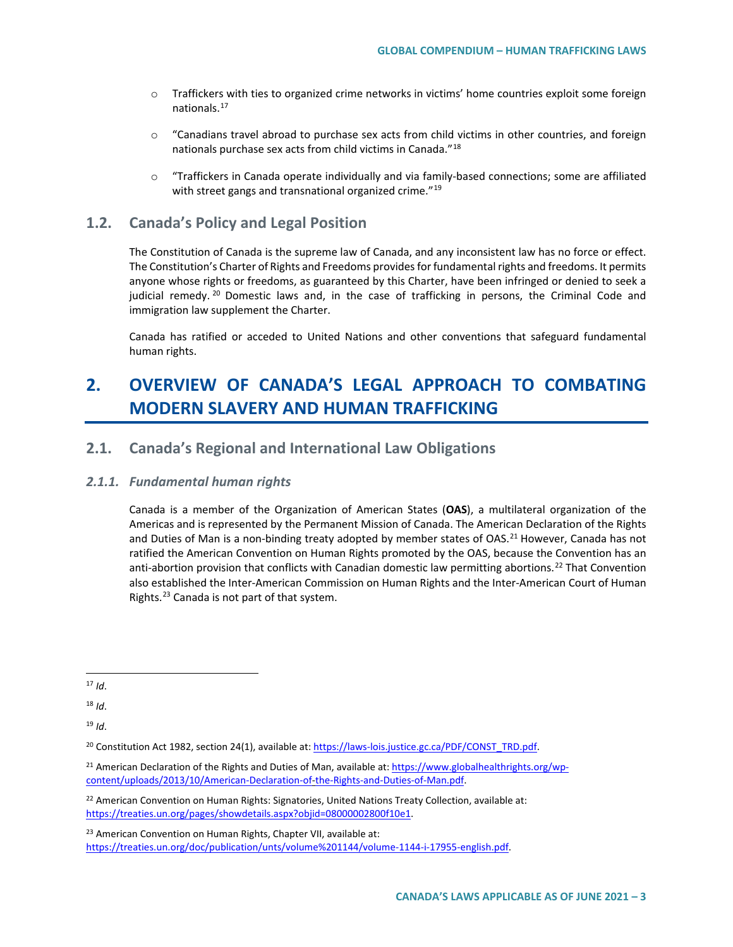- $\circ$  Traffickers with ties to organized crime networks in victims' home countries exploit some foreign nationals.[17](#page-2-0)
- $\circ$  "Canadians travel abroad to purchase sex acts from child victims in other countries, and foreign nationals purchase sex acts from child victims in Canada."[18](#page-2-1)
- o "Traffickers in Canada operate individually and via family-based connections; some are affiliated with street gangs and transnational organized crime."<sup>[19](#page-2-2)</sup>

## **1.2. Canada's Policy and Legal Position**

The Constitution of Canada is the supreme law of Canada, and any inconsistent law has no force or effect. The Constitution's Charter of Rights and Freedoms provides for fundamental rights and freedoms. It permits anyone whose rights or freedoms, as guaranteed by this Charter, have been infringed or denied to seek a judicial remedy. <sup>[20](#page-2-3)</sup> Domestic laws and, in the case of trafficking in persons, the Criminal Code and immigration law supplement the Charter.

Canada has ratified or acceded to United Nations and other conventions that safeguard fundamental human rights.

# **2. OVERVIEW OF CANADA'S LEGAL APPROACH TO COMBATING MODERN SLAVERY AND HUMAN TRAFFICKING**

## **2.1. Canada's Regional and International Law Obligations**

#### *2.1.1. Fundamental human rights*

Canada is a member of the Organization of American States (**OAS**), a multilateral organization of the Americas and is represented by the Permanent Mission of Canada. The American Declaration of the Rights and Duties of Man is a non-binding treaty adopted by member states of OAS.<sup>[21](#page-2-4)</sup> However, Canada has not ratified the American Convention on Human Rights promoted by the OAS, because the Convention has an anti-abortion provision that conflicts with Canadian domestic law permitting abortions.<sup>[22](#page-2-5)</sup> That Convention also established the Inter-American Commission on Human Rights and the Inter-American Court of Human Rights.<sup>[23](#page-2-6)</sup> Canada is not part of that system.

<span id="page-2-1"></span><sup>18</sup> *Id*.

<span id="page-2-2"></span><sup>19</sup> *Id*.

<span id="page-2-4"></span><sup>21</sup> American Declaration of the Rights and Duties of Man, available at[: https://www.globalhealthrights.org/wp](https://www.globalhealthrights.org/wp-content/uploads/2013/10/American-Declaration-of-the-Rights-and-Duties-of-Man.pdf)[content/uploads/2013/10/American-Declaration-of-the-Rights-and-Duties-of-Man.pdf.](https://www.globalhealthrights.org/wp-content/uploads/2013/10/American-Declaration-of-the-Rights-and-Duties-of-Man.pdf)

<span id="page-2-5"></span><sup>22</sup> American Convention on Human Rights: Signatories, United Nations Treaty Collection, available at: [https://treaties.un.org/pages/showdetails.aspx?objid=08000002800f10e1.](https://treaties.un.org/pages/showdetails.aspx?objid=08000002800f10e1)

<span id="page-2-6"></span><sup>23</sup> American Convention on Human Rights, Chapter VII, available at: [https://treaties.un.org/doc/publication/unts/volume%201144/volume-1144-i-17955-english.pdf.](https://treaties.un.org/doc/publication/unts/volume%201144/volume-1144-i-17955-english.pdf)

<span id="page-2-0"></span> $17$  *Id.* 

<span id="page-2-3"></span><sup>&</sup>lt;sup>20</sup> Constitution Act 1982, section 24(1), available at: [https://laws-lois.justice.gc.ca/PDF/CONST\\_TRD.pdf.](https://laws-lois.justice.gc.ca/PDF/CONST_TRD.pdf)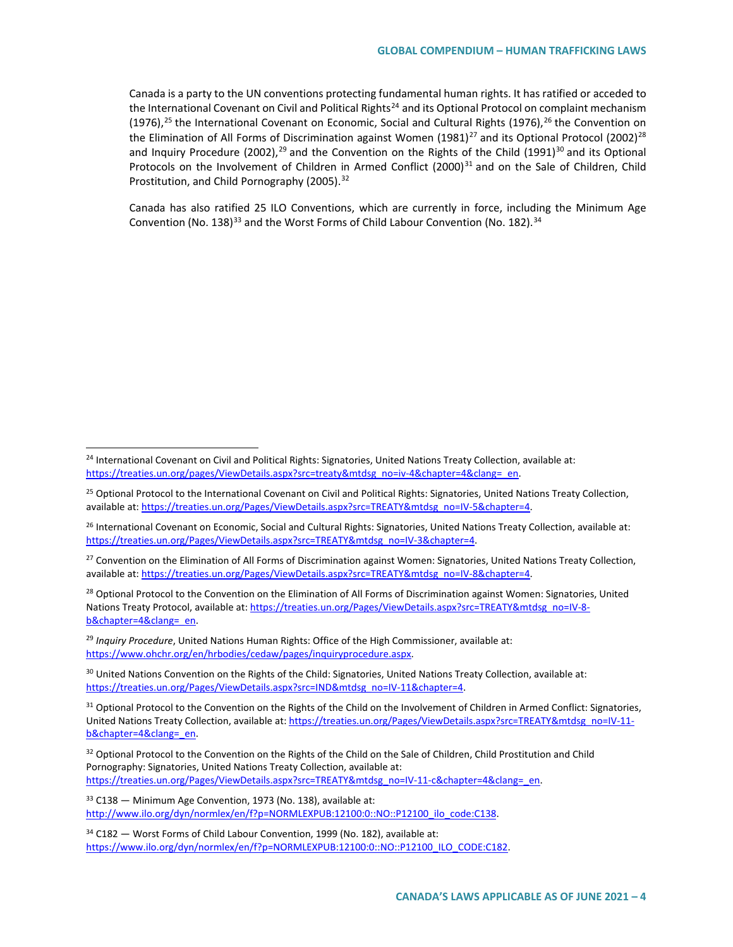Canada is a party to the UN conventions protecting fundamental human rights. It has ratified or acceded to the International Covenant on Civil and Political Rights<sup>[24](#page-3-0)</sup> and its Optional Protocol on complaint mechanism (1976),<sup>[25](#page-3-1)</sup> the International Covenant on Economic, Social and Cultural Rights (1976),<sup>26</sup> the Convention on the Elimination of All Forms of Discrimination against Women  $(1981)^{27}$  $(1981)^{27}$  $(1981)^{27}$  and its Optional Protocol (2002)<sup>[28](#page-3-4)</sup> and Inquiry Procedure (2002),  $29$  and the Convention on the Rights of the Child (1991)<sup>[30](#page-3-6)</sup> and its Optional Protocols on the Involvement of Children in Armed Conflict  $(2000)^{31}$  $(2000)^{31}$  $(2000)^{31}$  and on the Sale of Children, Child Prostitution, and Child Pornography (2005).<sup>[32](#page-3-8)</sup>

Canada has also ratified 25 ILO Conventions, which are currently in force, including the Minimum Age Convention (No. 138)<sup>[33](#page-3-9)</sup> and the Worst Forms of Child Labour Convention (No. 182).<sup>[34](#page-3-10)</sup>

<span id="page-3-5"></span><sup>29</sup> *Inquiry Procedure*, United Nations Human Rights: Office of the High Commissioner, available at: [https://www.ohchr.org/en/hrbodies/cedaw/pages/inquiryprocedure.aspx.](https://www.ohchr.org/en/hrbodies/cedaw/pages/inquiryprocedure.aspx)

<span id="page-3-6"></span><sup>30</sup> United Nations Convention on the Rights of the Child: Signatories, United Nations Treaty Collection, available at: [https://treaties.un.org/Pages/ViewDetails.aspx?src=IND&mtdsg\\_no=IV-11&chapter=4.](https://treaties.un.org/Pages/ViewDetails.aspx?src=IND&mtdsg_no=IV-11&chapter=4)

<span id="page-3-0"></span><sup>&</sup>lt;sup>24</sup> International Covenant on Civil and Political Rights: Signatories, United Nations Treaty Collection, available at: [https://treaties.un.org/pages/ViewDetails.aspx?src=treaty&mtdsg\\_no=iv-4&chapter=4&clang=\\_en.](https://treaties.un.org/pages/ViewDetails.aspx?src=treaty&mtdsg_no=iv-4&chapter=4&clang=_en)

<span id="page-3-1"></span><sup>&</sup>lt;sup>25</sup> Optional Protocol to the International Covenant on Civil and Political Rights: Signatories, United Nations Treaty Collection, available at[: https://treaties.un.org/Pages/ViewDetails.aspx?src=TREATY&mtdsg\\_no=IV-5&chapter=4.](https://treaties.un.org/Pages/ViewDetails.aspx?src=TREATY&mtdsg_no=IV-5&chapter=4)

<span id="page-3-2"></span><sup>&</sup>lt;sup>26</sup> International Covenant on Economic, Social and Cultural Rights: Signatories, United Nations Treaty Collection, available at: [https://treaties.un.org/Pages/ViewDetails.aspx?src=TREATY&mtdsg\\_no=IV-3&chapter=4.](https://treaties.un.org/Pages/ViewDetails.aspx?src=TREATY&mtdsg_no=IV-3&chapter=4)

<span id="page-3-3"></span><sup>&</sup>lt;sup>27</sup> Convention on the Elimination of All Forms of Discrimination against Women: Signatories, United Nations Treaty Collection, available at[: https://treaties.un.org/Pages/ViewDetails.aspx?src=TREATY&mtdsg\\_no=IV-8&chapter=4.](https://treaties.un.org/Pages/ViewDetails.aspx?src=TREATY&mtdsg_no=IV-8&chapter=4)

<span id="page-3-4"></span><sup>&</sup>lt;sup>28</sup> Optional Protocol to the Convention on the Elimination of All Forms of Discrimination against Women: Signatories, United Nations Treaty Protocol, available at[: https://treaties.un.org/Pages/ViewDetails.aspx?src=TREATY&mtdsg\\_no=IV-8](https://treaties.un.org/Pages/ViewDetails.aspx?src=TREATY&mtdsg_no=IV-8-b&chapter=4&clang=_en) b&chapter=4&clang= en.

<span id="page-3-7"></span><sup>&</sup>lt;sup>31</sup> Optional Protocol to the Convention on the Rights of the Child on the Involvement of Children in Armed Conflict: Signatories, United Nations Treaty Collection, available at[: https://treaties.un.org/Pages/ViewDetails.aspx?src=TREATY&mtdsg\\_no=IV-11](https://treaties.un.org/Pages/ViewDetails.aspx?src=TREATY&mtdsg_no=IV-11-b&chapter=4&clang=_en) [b&chapter=4&clang=\\_en.](https://treaties.un.org/Pages/ViewDetails.aspx?src=TREATY&mtdsg_no=IV-11-b&chapter=4&clang=_en)

<span id="page-3-8"></span><sup>&</sup>lt;sup>32</sup> Optional Protocol to the Convention on the Rights of the Child on the Sale of Children, Child Prostitution and Child Pornography: Signatories, United Nations Treaty Collection, available at: [https://treaties.un.org/Pages/ViewDetails.aspx?src=TREATY&mtdsg\\_no=IV-11-c&chapter=4&clang=\\_en.](https://treaties.un.org/Pages/ViewDetails.aspx?src=TREATY&mtdsg_no=IV-11-c&chapter=4&clang=_en)

<span id="page-3-9"></span><sup>33</sup> C138 - Minimum Age Convention, 1973 (No. 138), available at: [http://www.ilo.org/dyn/normlex/en/f?p=NORMLEXPUB:12100:0::NO::P12100\\_ilo\\_code:C138.](http://www.ilo.org/dyn/normlex/en/f?p=NORMLEXPUB:12100:0::NO::P12100_ilo_code:C138)

<span id="page-3-10"></span><sup>34</sup> C182 — Worst Forms of Child Labour Convention, 1999 (No. 182), available at: [https://www.ilo.org/dyn/normlex/en/f?p=NORMLEXPUB:12100:0::NO::P12100\\_ILO\\_CODE:C182.](https://www.ilo.org/dyn/normlex/en/f?p=NORMLEXPUB:12100:0::NO::P12100_ILO_CODE:C182)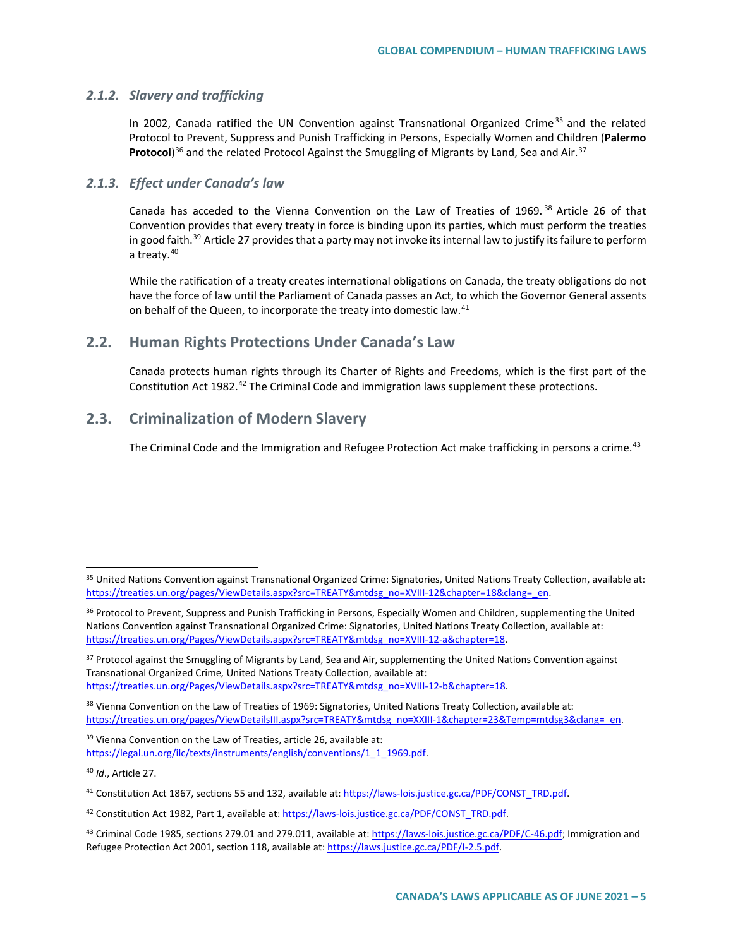#### *2.1.2. Slavery and trafficking*

In 2002, Canada ratified the UN Convention against Transnational Organized Crime<sup>[35](#page-4-0)</sup> and the related Protocol to Prevent, Suppress and Punish Trafficking in Persons, Especially Women and Children (**Palermo**  Protocol)<sup>[36](#page-4-1)</sup> and the related Protocol Against the Smuggling of Migrants by Land, Sea and Air.<sup>[37](#page-4-2)</sup>

#### *2.1.3. Effect under Canada's law*

Canada has acceded to the Vienna Convention on the Law of Treaties of 1969.<sup>[38](#page-4-3)</sup> Article 26 of that Convention provides that every treaty in force is binding upon its parties, which must perform the treaties in good faith.<sup>[39](#page-4-4)</sup> Article 27 provides that a party may not invoke its internal law to justify its failure to perform a treaty.<sup>[40](#page-4-5)</sup>

While the ratification of a treaty creates international obligations on Canada, the treaty obligations do not have the force of law until the Parliament of Canada passes an Act, to which the Governor General assents on behalf of the Queen, to incorporate the treaty into domestic law.<sup>[41](#page-4-6)</sup>

## **2.2. Human Rights Protections Under Canada's Law**

Canada protects human rights through its Charter of Rights and Freedoms, which is the first part of the Constitution Act 1982.<sup>[42](#page-4-7)</sup> The Criminal Code and immigration laws supplement these protections.

## **2.3. Criminalization of Modern Slavery**

The Criminal Code and the Immigration and Refugee Protection Act make trafficking in persons a crime.<sup>[43](#page-4-8)</sup>

<span id="page-4-0"></span><sup>35</sup> United Nations Convention against Transnational Organized Crime: Signatories, United Nations Treaty Collection, available at: [https://treaties.un.org/pages/ViewDetails.aspx?src=TREATY&mtdsg\\_no=XVIII-12&chapter=18&clang=\\_en.](https://treaties.un.org/pages/ViewDetails.aspx?src=TREATY&mtdsg_no=XVIII-12&chapter=18&clang=_en)

<span id="page-4-1"></span><sup>&</sup>lt;sup>36</sup> Protocol to Prevent, Suppress and Punish Trafficking in Persons, Especially Women and Children, supplementing the United Nations Convention against Transnational Organized Crime: Signatories, United Nations Treaty Collection, available at: [https://treaties.un.org/Pages/ViewDetails.aspx?src=TREATY&mtdsg\\_no=XVIII-12-a&chapter=18.](https://treaties.un.org/Pages/ViewDetails.aspx?src=TREATY&mtdsg_no=XVIII-12-a&chapter=18)

<span id="page-4-2"></span><sup>&</sup>lt;sup>37</sup> Protocol against the Smuggling of Migrants by Land, Sea and Air, supplementing the United Nations Convention against Transnational Organized Crime*,* United Nations Treaty Collection, available at: [https://treaties.un.org/Pages/ViewDetails.aspx?src=TREATY&mtdsg\\_no=XVIII-12-b&chapter=18.](https://treaties.un.org/Pages/ViewDetails.aspx?src=TREATY&mtdsg_no=XVIII-12-b&chapter=18)

<span id="page-4-3"></span><sup>&</sup>lt;sup>38</sup> Vienna Convention on the Law of Treaties of 1969: Signatories, United Nations Treaty Collection, available at: [https://treaties.un.org/pages/ViewDetailsIII.aspx?src=TREATY&mtdsg\\_no=XXIII-1&chapter=23&Temp=mtdsg3&clang=\\_en.](https://treaties.un.org/pages/ViewDetailsIII.aspx?src=TREATY&mtdsg_no=XXIII-1&chapter=23&Temp=mtdsg3&clang=_en)

<span id="page-4-4"></span><sup>&</sup>lt;sup>39</sup> Vienna Convention on the Law of Treaties, article 26, available at: [https://legal.un.org/ilc/texts/instruments/english/conventions/1\\_1\\_1969.pdf.](https://legal.un.org/ilc/texts/instruments/english/conventions/1_1_1969.pdf)

<span id="page-4-5"></span><sup>40</sup> *Id*., Article 27.

<span id="page-4-6"></span><sup>41</sup> Constitution Act 1867, sections 55 and 132, available at: [https://laws-lois.justice.gc.ca/PDF/CONST\\_TRD.pdf.](https://laws-lois.justice.gc.ca/PDF/CONST_TRD.pdf)

<span id="page-4-7"></span><sup>42</sup> Constitution Act 1982, Part 1, available at[: https://laws-lois.justice.gc.ca/PDF/CONST\\_TRD.pdf.](https://laws-lois.justice.gc.ca/PDF/CONST_TRD.pdf)

<span id="page-4-8"></span><sup>43</sup> Criminal Code 1985, sections 279.01 and 279.011, available at: [https://laws-lois.justice.gc.ca/PDF/C-46.pdf;](https://laws-lois.justice.gc.ca/PDF/C-46.pdf) Immigration and Refugee Protection Act 2001, section 118, available at[: https://laws.justice.gc.ca/PDF/I-2.5.pdf.](https://laws.justice.gc.ca/PDF/I-2.5.pdf)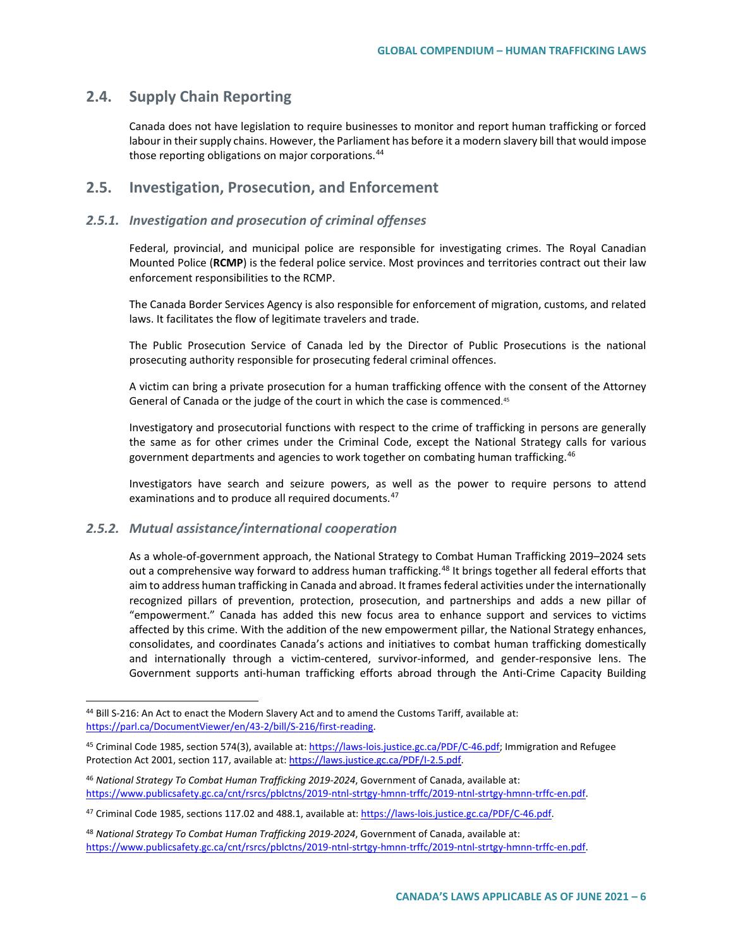## **2.4. Supply Chain Reporting**

Canada does not have legislation to require businesses to monitor and report human trafficking or forced labour in their supply chains. However, the Parliament has before it a modern slavery bill that would impose those reporting obligations on major corporations.<sup>[44](#page-5-0)</sup>

## **2.5. Investigation, Prosecution, and Enforcement**

#### *2.5.1. Investigation and prosecution of criminal offenses*

Federal, provincial, and municipal police are responsible for investigating crimes. The Royal Canadian Mounted Police (**RCMP**) is the federal police service. Most provinces and territories contract out their law enforcement responsibilities to the RCMP.

The Canada Border Services Agency is also responsible for enforcement of migration, customs, and related laws. It facilitates the flow of legitimate travelers and trade.

The Public Prosecution Service of Canada led by the Director of Public Prosecutions is the national prosecuting authority responsible for prosecuting federal criminal offences.

A victim can bring a private prosecution for a human trafficking offence with the consent of the Attorney General of Canada or the judge of the court in which the case is commenced.<sup>[45](#page-5-1)</sup>

Investigatory and prosecutorial functions with respect to the crime of trafficking in persons are generally the same as for other crimes under the Criminal Code, except the National Strategy calls for various government departments and agencies to work together on combating human trafficking.<sup>[46](#page-5-2)</sup>

Investigators have search and seizure powers, as well as the power to require persons to attend examinations and to produce all required documents.<sup>[47](#page-5-3)</sup>

#### *2.5.2. Mutual assistance/international cooperation*

As a whole-of-government approach, the National Strategy to Combat Human Trafficking 2019–2024 sets out a comprehensive way forward to address human trafficking.<sup>[48](#page-5-4)</sup> It brings together all federal efforts that aim to address human trafficking in Canada and abroad. It frames federal activities under the internationally recognized pillars of prevention, protection, prosecution, and partnerships and adds a new pillar of "empowerment." Canada has added this new focus area to enhance support and services to victims affected by this crime. With the addition of the new empowerment pillar, the National Strategy enhances, consolidates, and coordinates Canada's actions and initiatives to combat human trafficking domestically and internationally through a victim-centered, survivor-informed, and gender-responsive lens. The Government supports anti-human trafficking efforts abroad through the Anti-Crime Capacity Building

<span id="page-5-0"></span> <sup>44</sup> Bill S-216: An Act to enact the Modern Slavery Act and to amend the Customs Tariff, available at: [https://parl.ca/DocumentViewer/en/43-2/bill/S-216/first-reading.](https://parl.ca/DocumentViewer/en/43-2/bill/S-216/first-reading)

<span id="page-5-1"></span><sup>&</sup>lt;sup>45</sup> Criminal Code 1985, section 574(3), available at[: https://laws-lois.justice.gc.ca/PDF/C-46.pdf;](https://laws-lois.justice.gc.ca/PDF/C-46.pdf) Immigration and Refugee Protection Act 2001, section 117, available at[: https://laws.justice.gc.ca/PDF/I-2.5.pdf.](https://laws.justice.gc.ca/PDF/I-2.5.pdf)

<span id="page-5-2"></span><sup>46</sup> *National Strategy To Combat Human Trafficking 2019-2024*, Government of Canada, available at: [https://www.publicsafety.gc.ca/cnt/rsrcs/pblctns/2019-ntnl-strtgy-hmnn-trffc/2019-ntnl-strtgy-hmnn-trffc-en.pdf.](https://www.publicsafety.gc.ca/cnt/rsrcs/pblctns/2019-ntnl-strtgy-hmnn-trffc/2019-ntnl-strtgy-hmnn-trffc-en.pdf)

<span id="page-5-3"></span><sup>47</sup> Criminal Code 1985, sections 117.02 and 488.1, available at[: https://laws-lois.justice.gc.ca/PDF/C-46.pdf.](https://laws-lois.justice.gc.ca/PDF/C-46.pdf)

<span id="page-5-4"></span><sup>48</sup> *National Strategy To Combat Human Trafficking 2019-2024*, Government of Canada, available at: [https://www.publicsafety.gc.ca/cnt/rsrcs/pblctns/2019-ntnl-strtgy-hmnn-trffc/2019-ntnl-strtgy-hmnn-trffc-en.pdf.](https://www.publicsafety.gc.ca/cnt/rsrcs/pblctns/2019-ntnl-strtgy-hmnn-trffc/2019-ntnl-strtgy-hmnn-trffc-en.pdf)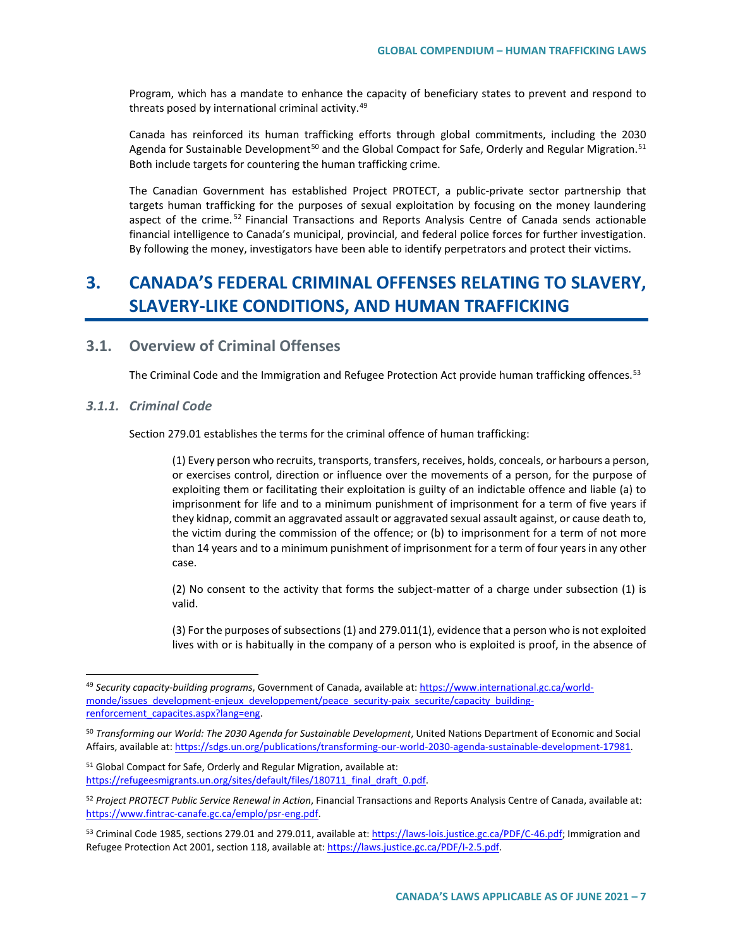Program, which has a mandate to enhance the capacity of beneficiary states to prevent and respond to threats posed by international criminal activity.<sup>[49](#page-6-0)</sup>

Canada has reinforced its human trafficking efforts through global commitments, including the 2030 Agenda for Sustainable Development<sup>[50](#page-6-1)</sup> and the Global Compact for Safe, Orderly and Regular Migration.<sup>[51](#page-6-2)</sup> Both include targets for countering the human trafficking crime.

The Canadian Government has established Project PROTECT, a public-private sector partnership that targets human trafficking for the purposes of sexual exploitation by focusing on the money laundering aspect of the crime.<sup>[52](#page-6-3)</sup> Financial Transactions and Reports Analysis Centre of Canada sends actionable financial intelligence to Canada's municipal, provincial, and federal police forces for further investigation. By following the money, investigators have been able to identify perpetrators and protect their victims.

# **3. CANADA'S FEDERAL CRIMINAL OFFENSES RELATING TO SLAVERY, SLAVERY-LIKE CONDITIONS, AND HUMAN TRAFFICKING**

## **3.1. Overview of Criminal Offenses**

The Criminal Code and the Immigration and Refugee Protection Act provide human trafficking offences.<sup>[53](#page-6-4)</sup>

#### *3.1.1. Criminal Code*

Section 279.01 establishes the terms for the criminal offence of human trafficking:

(1) Every person who recruits, transports, transfers, receives, holds, conceals, or harbours a person, or exercises control, direction or influence over the movements of a person, for the purpose of exploiting them or facilitating their exploitation is guilty of an indictable offence and liable (a) to imprisonment for life and to a minimum punishment of imprisonment for a term of five years if they kidnap, commit an aggravated assault or aggravated sexual assault against, or cause death to, the victim during the commission of the offence; or (b) to imprisonment for a term of not more than 14 years and to a minimum punishment of imprisonment for a term of four years in any other case.

(2) No consent to the activity that forms the subject-matter of a charge under subsection (1) is valid.

(3) For the purposes of subsections (1) and 279.011(1), evidence that a person who is not exploited lives with or is habitually in the company of a person who is exploited is proof, in the absence of

<span id="page-6-2"></span><sup>51</sup> Global Compact for Safe, Orderly and Regular Migration, available at: https://refugeesmigrants.un.org/sites/default/files/180711\_final\_draft\_0.pdf.

<span id="page-6-0"></span> <sup>49</sup> *Security capacity-building programs*, Government of Canada, available at[: https://www.international.gc.ca/world](https://www.international.gc.ca/world-monde/issues_development-enjeux_developpement/peace_security-paix_securite/capacity_building-renforcement_capacites.aspx?lang=eng)[monde/issues\\_development-enjeux\\_developpement/peace\\_security-paix\\_securite/capacity\\_building](https://www.international.gc.ca/world-monde/issues_development-enjeux_developpement/peace_security-paix_securite/capacity_building-renforcement_capacites.aspx?lang=eng)renforcement\_capacites.aspx?lang=eng.

<span id="page-6-1"></span><sup>50</sup> *Transforming our World: The 2030 Agenda for Sustainable Development*, United Nations Department of Economic and Social Affairs, available at[: https://sdgs.un.org/publications/transforming-our-world-2030-agenda-sustainable-development-17981.](https://sdgs.un.org/publications/transforming-our-world-2030-agenda-sustainable-development-17981)

<span id="page-6-3"></span><sup>52</sup> *Project PROTECT Public Service Renewal in Action*, Financial Transactions and Reports Analysis Centre of Canada, available at: [https://www.fintrac-canafe.gc.ca/emplo/psr-eng.pdf.](https://www.fintrac-canafe.gc.ca/emplo/psr-eng.pdf)

<span id="page-6-4"></span><sup>53</sup> Criminal Code 1985, sections 279.01 and 279.011, available at: [https://laws-lois.justice.gc.ca/PDF/C-46.pdf;](https://laws-lois.justice.gc.ca/PDF/C-46.pdf) Immigration and Refugee Protection Act 2001, section 118, available at[: https://laws.justice.gc.ca/PDF/I-2.5.pdf.](https://laws.justice.gc.ca/PDF/I-2.5.pdf)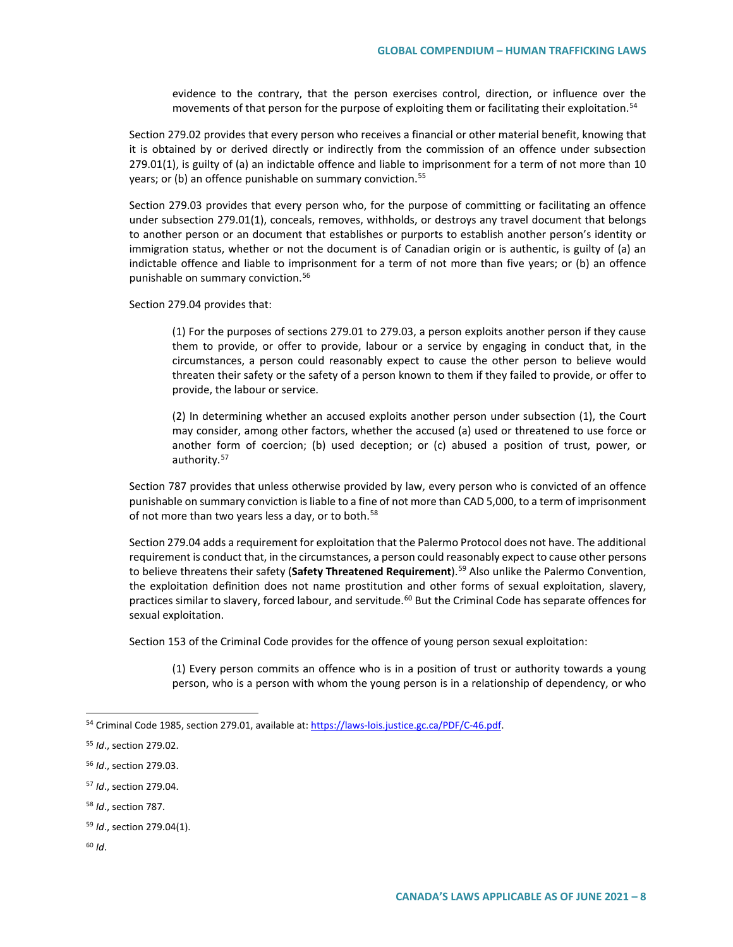evidence to the contrary, that the person exercises control, direction, or influence over the movements of that person for the purpose of exploiting them or facilitating their exploitation.<sup>[54](#page-7-0)</sup>

Section 279.02 provides that every person who receives a financial or other material benefit, knowing that it is obtained by or derived directly or indirectly from the commission of an offence under subsection 279.01(1), is guilty of (a) an indictable offence and liable to imprisonment for a term of not more than 10 years; or (b) an offence punishable on summary conviction.<sup>[55](#page-7-1)</sup>

Section 279.03 provides that every person who, for the purpose of committing or facilitating an offence under subsection 279.01(1), conceals, removes, withholds, or destroys any travel document that belongs to another person or an document that establishes or purports to establish another person's identity or immigration status, whether or not the document is of Canadian origin or is authentic, is guilty of (a) an indictable offence and liable to imprisonment for a term of not more than five years; or (b) an offence punishable on summary conviction.<sup>[56](#page-7-2)</sup>

Section 279.04 provides that:

(1) For the purposes of sections 279.01 to 279.03, a person exploits another person if they cause them to provide, or offer to provide, labour or a service by engaging in conduct that, in the circumstances, a person could reasonably expect to cause the other person to believe would threaten their safety or the safety of a person known to them if they failed to provide, or offer to provide, the labour or service.

(2) In determining whether an accused exploits another person under subsection (1), the Court may consider, among other factors, whether the accused (a) used or threatened to use force or another form of coercion; (b) used deception; or (c) abused a position of trust, power, or authority.[57](#page-7-3)

Section 787 provides that unless otherwise provided by law, every person who is convicted of an offence punishable on summary conviction is liable to a fine of not more than CAD 5,000, to a term of imprisonment of not more than two years less a day, or to both.<sup>[58](#page-7-4)</sup>

Section 279.04 adds a requirement for exploitation that the Palermo Protocol does not have. The additional requirement is conduct that, in the circumstances, a person could reasonably expect to cause other persons to believe threatens their safety (**Safety Threatened Requirement**).[59](#page-7-5) Also unlike the Palermo Convention, the exploitation definition does not name prostitution and other forms of sexual exploitation, slavery, practices similar to slavery, forced labour, and servitude.<sup>[60](#page-7-6)</sup> But the Criminal Code has separate offences for sexual exploitation.

Section 153 of the Criminal Code provides for the offence of young person sexual exploitation:

(1) Every person commits an offence who is in a position of trust or authority towards a young person, who is a person with whom the young person is in a relationship of dependency, or who

<span id="page-7-6"></span><sup>60</sup> *Id*.

<span id="page-7-0"></span><sup>54</sup> Criminal Code 1985, section 279.01, available at: [https://laws-lois.justice.gc.ca/PDF/C-46.pdf.](https://laws-lois.justice.gc.ca/PDF/C-46.pdf)

<span id="page-7-1"></span><sup>55</sup> *Id*., section 279.02.

<span id="page-7-2"></span><sup>56</sup> *Id*., section 279.03.

<span id="page-7-3"></span><sup>57</sup> *Id*., section 279.04.

<span id="page-7-4"></span><sup>58</sup> *Id*., section 787.

<span id="page-7-5"></span><sup>59</sup> *Id*., section 279.04(1).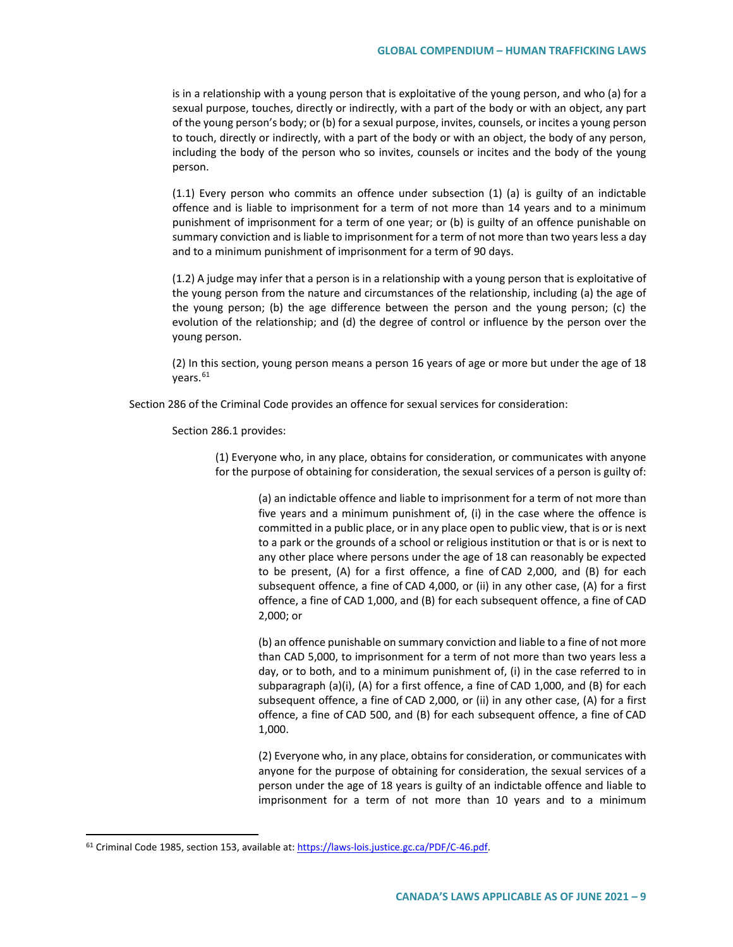is in a relationship with a young person that is exploitative of the young person, and who (a) for a sexual purpose, touches, directly or indirectly, with a part of the body or with an object, any part of the young person's body; or (b) for a sexual purpose, invites, counsels, or incites a young person to touch, directly or indirectly, with a part of the body or with an object, the body of any person, including the body of the person who so invites, counsels or incites and the body of the young person.

(1.1) Every person who commits an offence under subsection (1) (a) is guilty of an indictable offence and is liable to imprisonment for a term of not more than 14 years and to a minimum punishment of imprisonment for a term of one year; or (b) is guilty of an offence punishable on summary conviction and is liable to imprisonment for a term of not more than two years less a day and to a minimum punishment of imprisonment for a term of 90 days.

(1.2) A judge may infer that a person is in a relationship with a young person that is exploitative of the young person from the nature and circumstances of the relationship, including (a) the age of the young person; (b) the age difference between the person and the young person; (c) the evolution of the relationship; and (d) the degree of control or influence by the person over the young person.

(2) In this section, young person means a person 16 years of age or more but under the age of 18  $years<sup>61</sup>$  $years<sup>61</sup>$  $years<sup>61</sup>$ 

Section 286 of the Criminal Code provides an offence for sexual services for consideration:

Section 286.1 provides:

(1) Everyone who, in any place, obtains for consideration, or communicates with anyone for the purpose of obtaining for consideration, the sexual services of a person is guilty of:

(a) an indictable offence and liable to imprisonment for a term of not more than five years and a minimum punishment of, (i) in the case where the offence is committed in a public place, or in any place open to public view, that is or is next to a park or the grounds of a school or religious institution or that is or is next to any other place where persons under the age of 18 can reasonably be expected to be present, (A) for a first offence, a fine of CAD 2,000, and (B) for each subsequent offence, a fine of CAD 4,000, or (ii) in any other case, (A) for a first offence, a fine of CAD 1,000, and (B) for each subsequent offence, a fine of CAD 2,000; or

(b) an offence punishable on summary conviction and liable to a fine of not more than CAD 5,000, to imprisonment for a term of not more than two years less a day, or to both, and to a minimum punishment of, (i) in the case referred to in subparagraph (a)(i), (A) for a first offence, a fine of CAD 1,000, and (B) for each subsequent offence, a fine of CAD 2,000, or (ii) in any other case, (A) for a first offence, a fine of CAD 500, and (B) for each subsequent offence, a fine of CAD 1,000.

(2) Everyone who, in any place, obtains for consideration, or communicates with anyone for the purpose of obtaining for consideration, the sexual services of a person under the age of 18 years is guilty of an indictable offence and liable to imprisonment for a term of not more than 10 years and to a minimum

<span id="page-8-0"></span><sup>&</sup>lt;sup>61</sup> Criminal Code 1985, section 153, available at[: https://laws-lois.justice.gc.ca/PDF/C-46.pdf.](https://laws-lois.justice.gc.ca/PDF/C-46.pdf)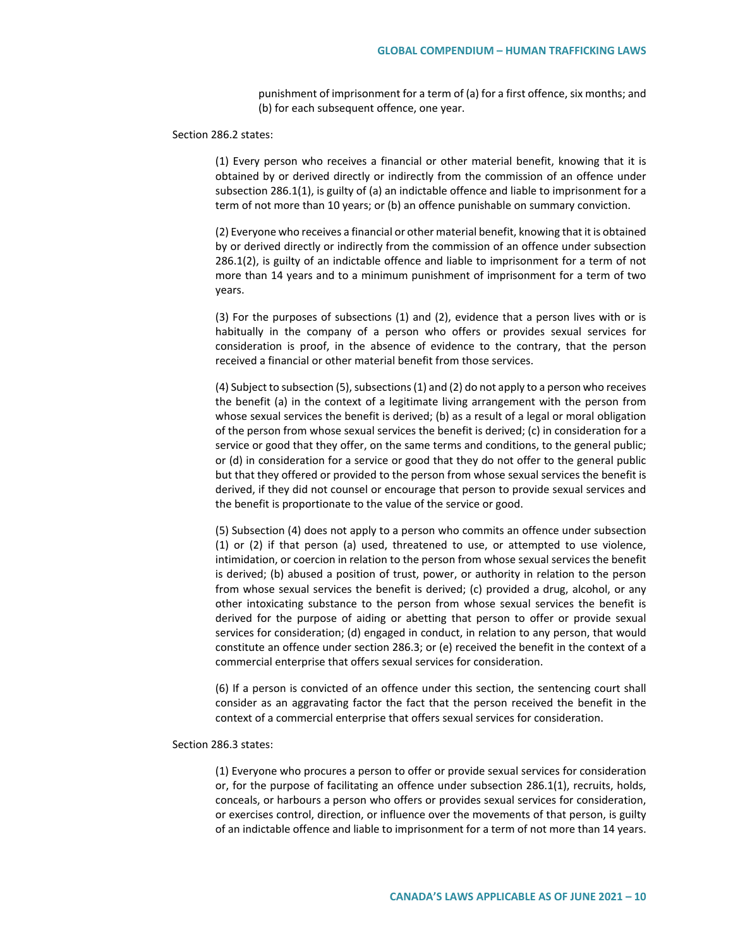punishment of imprisonment for a term of (a) for a first offence, six months; and (b) for each subsequent offence, one year.

#### Section 286.2 states:

(1) Every person who receives a financial or other material benefit, knowing that it is obtained by or derived directly or indirectly from the commission of an offence under subsection 286.1(1), is guilty of (a) an indictable offence and liable to imprisonment for a term of not more than 10 years; or (b) an offence punishable on summary conviction.

(2) Everyone who receives a financial or other material benefit, knowing that it is obtained by or derived directly or indirectly from the commission of an offence under subsection 286.1(2), is guilty of an indictable offence and liable to imprisonment for a term of not more than 14 years and to a minimum punishment of imprisonment for a term of two years.

(3) For the purposes of subsections (1) and (2), evidence that a person lives with or is habitually in the company of a person who offers or provides sexual services for consideration is proof, in the absence of evidence to the contrary, that the person received a financial or other material benefit from those services.

(4) Subject to subsection (5), subsections (1) and (2) do not apply to a person who receives the benefit (a) in the context of a legitimate living arrangement with the person from whose sexual services the benefit is derived; (b) as a result of a legal or moral obligation of the person from whose sexual services the benefit is derived; (c) in consideration for a service or good that they offer, on the same terms and conditions, to the general public; or (d) in consideration for a service or good that they do not offer to the general public but that they offered or provided to the person from whose sexual services the benefit is derived, if they did not counsel or encourage that person to provide sexual services and the benefit is proportionate to the value of the service or good.

(5) Subsection (4) does not apply to a person who commits an offence under subsection (1) or (2) if that person (a) used, threatened to use, or attempted to use violence, intimidation, or coercion in relation to the person from whose sexual services the benefit is derived; (b) abused a position of trust, power, or authority in relation to the person from whose sexual services the benefit is derived; (c) provided a drug, alcohol, or any other intoxicating substance to the person from whose sexual services the benefit is derived for the purpose of aiding or abetting that person to offer or provide sexual services for consideration; (d) engaged in conduct, in relation to any person, that would constitute an offence under section 286.3; or (e) received the benefit in the context of a commercial enterprise that offers sexual services for consideration.

(6) If a person is convicted of an offence under this section, the sentencing court shall consider as an aggravating factor the fact that the person received the benefit in the context of a commercial enterprise that offers sexual services for consideration.

#### Section 286.3 states:

(1) Everyone who procures a person to offer or provide sexual services for consideration or, for the purpose of facilitating an offence under subsection 286.1(1), recruits, holds, conceals, or harbours a person who offers or provides sexual services for consideration, or exercises control, direction, or influence over the movements of that person, is guilty of an indictable offence and liable to imprisonment for a term of not more than 14 years.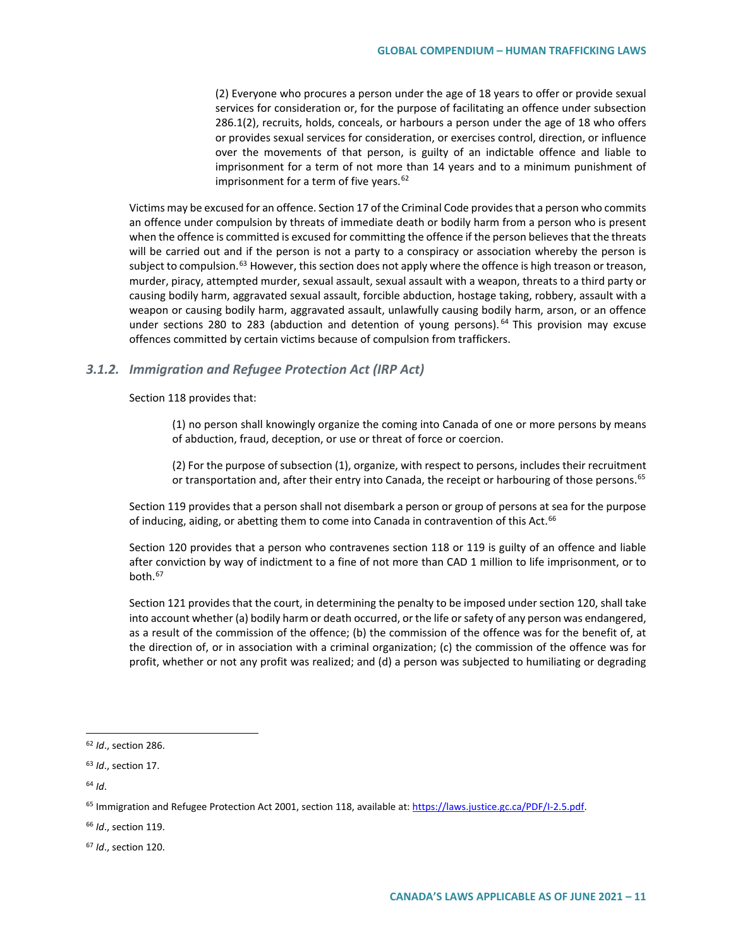(2) Everyone who procures a person under the age of 18 years to offer or provide sexual services for consideration or, for the purpose of facilitating an offence under subsection 286.1(2), recruits, holds, conceals, or harbours a person under the age of 18 who offers or provides sexual services for consideration, or exercises control, direction, or influence over the movements of that person, is guilty of an indictable offence and liable to imprisonment for a term of not more than 14 years and to a minimum punishment of imprisonment for a term of five years.<sup>[62](#page-10-0)</sup>

Victims may be excused for an offence. Section 17 of the Criminal Code provides that a person who commits an offence under compulsion by threats of immediate death or bodily harm from a person who is present when the offence is committed is excused for committing the offence if the person believes that the threats will be carried out and if the person is not a party to a conspiracy or association whereby the person is subject to compulsion.<sup>[63](#page-10-1)</sup> However, this section does not apply where the offence is high treason or treason, murder, piracy, attempted murder, sexual assault, sexual assault with a weapon, threats to a third party or causing bodily harm, aggravated sexual assault, forcible abduction, hostage taking, robbery, assault with a weapon or causing bodily harm, aggravated assault, unlawfully causing bodily harm, arson, or an offence under sections 280 to 283 (abduction and detention of young persons). [64](#page-10-2) This provision may excuse offences committed by certain victims because of compulsion from traffickers.

#### *3.1.2. Immigration and Refugee Protection Act (IRP Act)*

Section 118 provides that:

(1) no person shall knowingly organize the coming into Canada of one or more persons by means of abduction, fraud, deception, or use or threat of force or coercion.

(2) For the purpose of subsection (1), organize, with respect to persons, includes their recruitment or transportation and, after their entry into Canada, the receipt or harbouring of those persons.<sup>[65](#page-10-3)</sup>

Section 119 provides that a person shall not disembark a person or group of persons at sea for the purpose of inducing, aiding, or abetting them to come into Canada in contravention of this Act.<sup>[66](#page-10-4)</sup>

Section 120 provides that a person who contravenes section 118 or 119 is guilty of an offence and liable after conviction by way of indictment to a fine of not more than CAD 1 million to life imprisonment, or to both.<sup>[67](#page-10-5)</sup>

Section 121 provides that the court, in determining the penalty to be imposed under section 120, shall take into account whether (a) bodily harm or death occurred, or the life or safety of any person was endangered, as a result of the commission of the offence; (b) the commission of the offence was for the benefit of, at the direction of, or in association with a criminal organization; (c) the commission of the offence was for profit, whether or not any profit was realized; and (d) a person was subjected to humiliating or degrading

<span id="page-10-2"></span><sup>64</sup> *Id*.

<span id="page-10-4"></span><sup>66</sup> *Id*., section 119.

<span id="page-10-5"></span><sup>67</sup> *Id*., section 120.

<span id="page-10-0"></span> <sup>62</sup> *Id*., section 286.

<span id="page-10-1"></span><sup>63</sup> *Id*., section 17.

<span id="page-10-3"></span><sup>&</sup>lt;sup>65</sup> Immigration and Refugee Protection Act 2001, section 118, available at[: https://laws.justice.gc.ca/PDF/I-2.5.pdf.](https://laws.justice.gc.ca/PDF/I-2.5.pdf)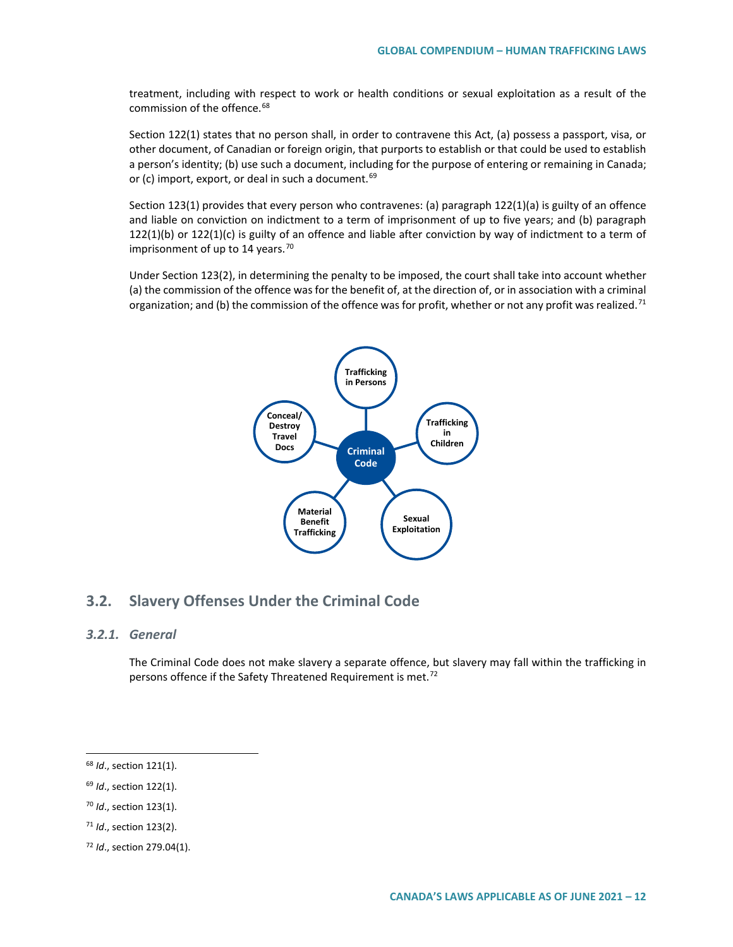treatment, including with respect to work or health conditions or sexual exploitation as a result of the commission of the offence.<sup>[68](#page-11-0)</sup>

Section 122(1) states that no person shall, in order to contravene this Act, (a) possess a passport, visa, or other document, of Canadian or foreign origin, that purports to establish or that could be used to establish a person's identity; (b) use such a document, including for the purpose of entering or remaining in Canada; or (c) import, export, or deal in such a document.<sup>[69](#page-11-1)</sup>

Section 123(1) provides that every person who contravenes: (a) paragraph 122(1)(a) is guilty of an offence and liable on conviction on indictment to a term of imprisonment of up to five years; and (b) paragraph 122(1)(b) or 122(1)(c) is guilty of an offence and liable after conviction by way of indictment to a term of imprisonment of up to 14 years. $70$ 

Under Section 123(2), in determining the penalty to be imposed, the court shall take into account whether (a) the commission of the offence was for the benefit of, at the direction of, or in association with a criminal organization; and (b) the commission of the offence was for profit, whether or not any profit was realized.<sup>[71](#page-11-3)</sup>



## **3.2. Slavery Offenses Under the Criminal Code**

#### *3.2.1. General*

The Criminal Code does not make slavery a separate offence, but slavery may fall within the trafficking in persons offence if the Safety Threatened Requirement is met.<sup>[72](#page-11-4)</sup>

- <span id="page-11-1"></span><sup>69</sup> *Id*., section 122(1).
- <span id="page-11-2"></span><sup>70</sup> *Id*., section 123(1).
- <span id="page-11-3"></span><sup>71</sup> *Id*., section 123(2).
- <span id="page-11-4"></span><sup>72</sup> *Id*., section 279.04(1).

<span id="page-11-0"></span> <sup>68</sup> *Id*., section 121(1).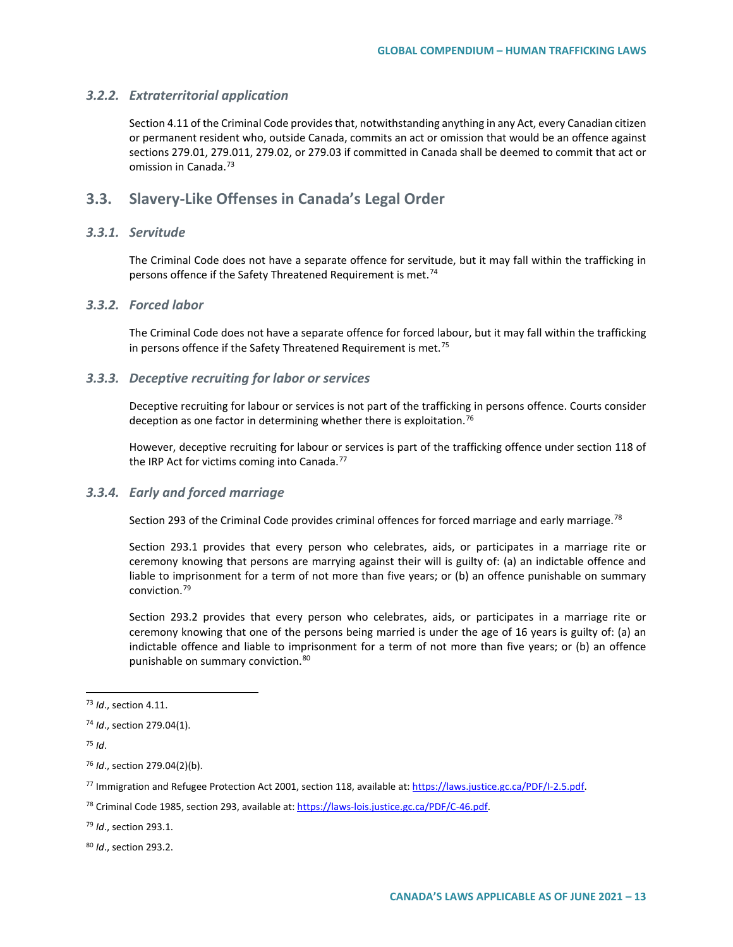#### *3.2.2. Extraterritorial application*

Section 4.11 of the Criminal Code provides that, notwithstanding anything in any Act, every Canadian citizen or permanent resident who, outside Canada, commits an act or omission that would be an offence against sections 279.01, 279.011, 279.02, or 279.03 if committed in Canada shall be deemed to commit that act or omission in Canada[.73](#page-12-0)

### **3.3. Slavery-Like Offenses in Canada's Legal Order**

#### *3.3.1. Servitude*

The Criminal Code does not have a separate offence for servitude, but it may fall within the trafficking in persons offence if the Safety Threatened Requirement is met.<sup>[74](#page-12-1)</sup>

#### *3.3.2. Forced labor*

The Criminal Code does not have a separate offence for forced labour, but it may fall within the trafficking in persons offence if the Safety Threatened Requirement is met. $75$ 

#### *3.3.3. Deceptive recruiting for labor or services*

Deceptive recruiting for labour or services is not part of the trafficking in persons offence. Courts consider deception as one factor in determining whether there is exploitation.<sup>[76](#page-12-3)</sup>

However, deceptive recruiting for labour or services is part of the trafficking offence under section 118 of the IRP Act for victims coming into Canada.<sup>[77](#page-12-4)</sup>

#### *3.3.4. Early and forced marriage*

Section 293 of the Criminal Code provides criminal offences for forced marriage and early marriage.<sup>[78](#page-12-5)</sup>

Section 293.1 provides that every person who celebrates, aids, or participates in a marriage rite or ceremony knowing that persons are marrying against their will is guilty of: (a) an indictable offence and liable to imprisonment for a term of not more than five years; or (b) an offence punishable on summary conviction.[79](#page-12-6)

Section 293.2 provides that every person who celebrates, aids, or participates in a marriage rite or ceremony knowing that one of the persons being married is under the age of 16 years is guilty of: (a) an indictable offence and liable to imprisonment for a term of not more than five years; or (b) an offence punishable on summary conviction.[80](#page-12-7)

<span id="page-12-2"></span><sup>75</sup> *Id*.

<span id="page-12-6"></span><sup>79</sup> *Id*., section 293.1.

<span id="page-12-7"></span><sup>80</sup> *Id*., section 293.2.

<span id="page-12-0"></span> <sup>73</sup> *Id*., section 4.11.

<span id="page-12-1"></span><sup>74</sup> *Id*., section 279.04(1).

<span id="page-12-3"></span><sup>76</sup> *Id*., section 279.04(2)(b).

<span id="page-12-4"></span><sup>77</sup> Immigration and Refugee Protection Act 2001, section 118, available at[: https://laws.justice.gc.ca/PDF/I-2.5.pdf.](https://laws.justice.gc.ca/PDF/I-2.5.pdf)

<span id="page-12-5"></span><sup>&</sup>lt;sup>78</sup> Criminal Code 1985, section 293, available at[: https://laws-lois.justice.gc.ca/PDF/C-46.pdf.](https://laws-lois.justice.gc.ca/PDF/C-46.pdf)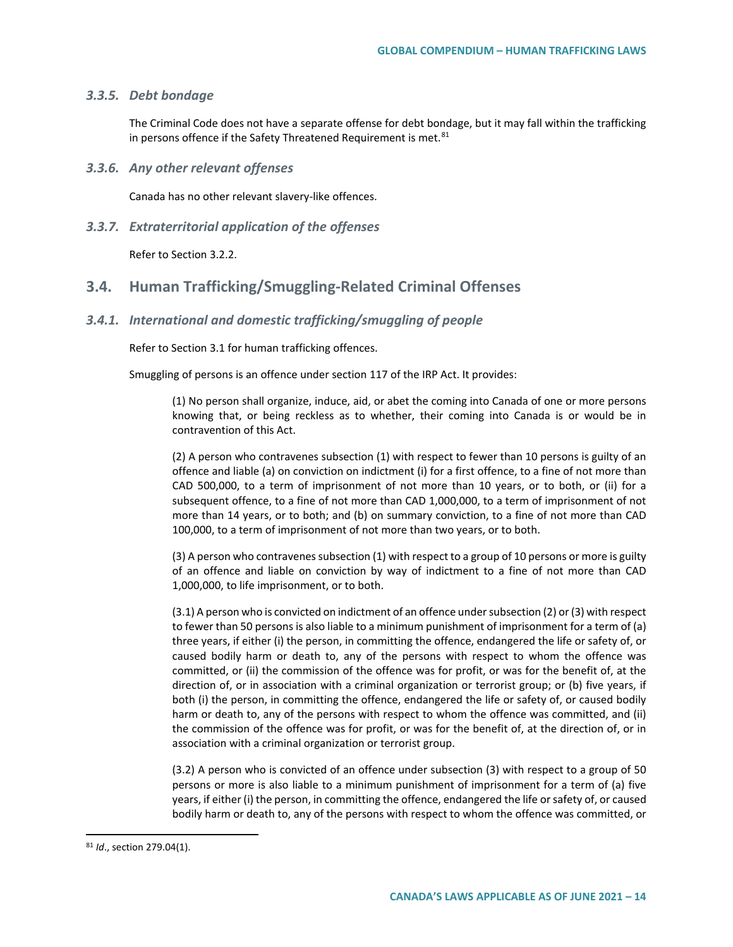#### *3.3.5. Debt bondage*

The Criminal Code does not have a separate offense for debt bondage, but it may fall within the trafficking in persons offence if the Safety Threatened Requirement is met.<sup>[81](#page-13-0)</sup>

*3.3.6. Any other relevant offenses*

Canada has no other relevant slavery-like offences.

*3.3.7. Extraterritorial application of the offenses*

Refer to Section 3.2.2.

#### **3.4. Human Trafficking/Smuggling-Related Criminal Offenses**

#### *3.4.1. International and domestic trafficking/smuggling of people*

Refer to Section 3.1 for human trafficking offences.

Smuggling of persons is an offence under section 117 of the IRP Act. It provides:

(1) No person shall organize, induce, aid, or abet the coming into Canada of one or more persons knowing that, or being reckless as to whether, their coming into Canada is or would be in contravention of this Act.

(2) A person who contravenes subsection (1) with respect to fewer than 10 persons is guilty of an offence and liable (a) on conviction on indictment (i) for a first offence, to a fine of not more than CAD 500,000, to a term of imprisonment of not more than 10 years, or to both, or (ii) for a subsequent offence, to a fine of not more than CAD 1,000,000, to a term of imprisonment of not more than 14 years, or to both; and (b) on summary conviction, to a fine of not more than CAD 100,000, to a term of imprisonment of not more than two years, or to both.

(3) A person who contravenes subsection (1) with respect to a group of 10 persons or more is guilty of an offence and liable on conviction by way of indictment to a fine of not more than CAD 1,000,000, to life imprisonment, or to both.

(3.1) A person who is convicted on indictment of an offence under subsection (2) or (3) with respect to fewer than 50 persons is also liable to a minimum punishment of imprisonment for a term of (a) three years, if either (i) the person, in committing the offence, endangered the life or safety of, or caused bodily harm or death to, any of the persons with respect to whom the offence was committed, or (ii) the commission of the offence was for profit, or was for the benefit of, at the direction of, or in association with a criminal organization or terrorist group; or (b) five years, if both (i) the person, in committing the offence, endangered the life or safety of, or caused bodily harm or death to, any of the persons with respect to whom the offence was committed, and (ii) the commission of the offence was for profit, or was for the benefit of, at the direction of, or in association with a criminal organization or terrorist group.

(3.2) A person who is convicted of an offence under subsection (3) with respect to a group of 50 persons or more is also liable to a minimum punishment of imprisonment for a term of (a) five years, if either (i) the person, in committing the offence, endangered the life or safety of, or caused bodily harm or death to, any of the persons with respect to whom the offence was committed, or

<span id="page-13-0"></span> <sup>81</sup> *Id*., section 279.04(1).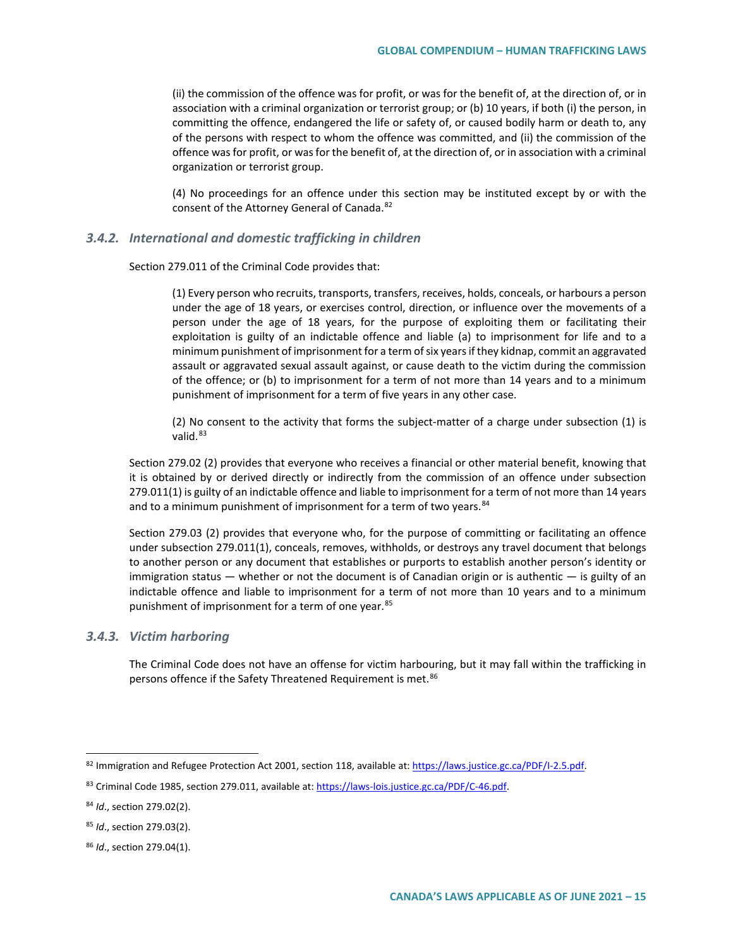(ii) the commission of the offence was for profit, or was for the benefit of, at the direction of, or in association with a criminal organization or terrorist group; or (b) 10 years, if both (i) the person, in committing the offence, endangered the life or safety of, or caused bodily harm or death to, any of the persons with respect to whom the offence was committed, and (ii) the commission of the offence was for profit, or was for the benefit of, at the direction of, or in association with a criminal organization or terrorist group.

(4) No proceedings for an offence under this section may be instituted except by or with the consent of the Attorney General of Canada.[82](#page-14-0)

#### *3.4.2. International and domestic trafficking in children*

Section 279.011 of the Criminal Code provides that:

(1) Every person who recruits, transports, transfers, receives, holds, conceals, or harbours a person under the age of 18 years, or exercises control, direction, or influence over the movements of a person under the age of 18 years, for the purpose of exploiting them or facilitating their exploitation is guilty of an indictable offence and liable (a) to imprisonment for life and to a minimum punishment of imprisonment for a term of six years if they kidnap, commit an aggravated assault or aggravated sexual assault against, or cause death to the victim during the commission of the offence; or (b) to imprisonment for a term of not more than 14 years and to a minimum punishment of imprisonment for a term of five years in any other case.

(2) No consent to the activity that forms the subject-matter of a charge under subsection (1) is valid.<sup>[83](#page-14-1)</sup>

Section 279.02 (2) provides that everyone who receives a financial or other material benefit, knowing that it is obtained by or derived directly or indirectly from the commission of an offence under subsection 279.011(1) is guilty of an indictable offence and liable to imprisonment for a term of not more than 14 years and to a minimum punishment of imprisonment for a term of two years.<sup>[84](#page-14-2)</sup>

Section 279.03 (2) provides that everyone who, for the purpose of committing or facilitating an offence under subsection 279.011(1), conceals, removes, withholds, or destroys any travel document that belongs to another person or any document that establishes or purports to establish another person's identity or immigration status  $-$  whether or not the document is of Canadian origin or is authentic  $-$  is guilty of an indictable offence and liable to imprisonment for a term of not more than 10 years and to a minimum punishment of imprisonment for a term of one year.<sup>[85](#page-14-3)</sup>

#### *3.4.3. Victim harboring*

The Criminal Code does not have an offense for victim harbouring, but it may fall within the trafficking in persons offence if the Safety Threatened Requirement is met.<sup>[86](#page-14-4)</sup>

<span id="page-14-0"></span><sup>82</sup> Immigration and Refugee Protection Act 2001, section 118, available at[: https://laws.justice.gc.ca/PDF/I-2.5.pdf.](https://laws.justice.gc.ca/PDF/I-2.5.pdf)

<span id="page-14-1"></span><sup>83</sup> Criminal Code 1985, section 279.011, available at[: https://laws-lois.justice.gc.ca/PDF/C-46.pdf.](https://laws-lois.justice.gc.ca/PDF/C-46.pdf)

<span id="page-14-2"></span><sup>84</sup> *Id*., section 279.02(2).

<span id="page-14-3"></span><sup>85</sup> *Id*., section 279.03(2).

<span id="page-14-4"></span><sup>86</sup> *Id*., section 279.04(1).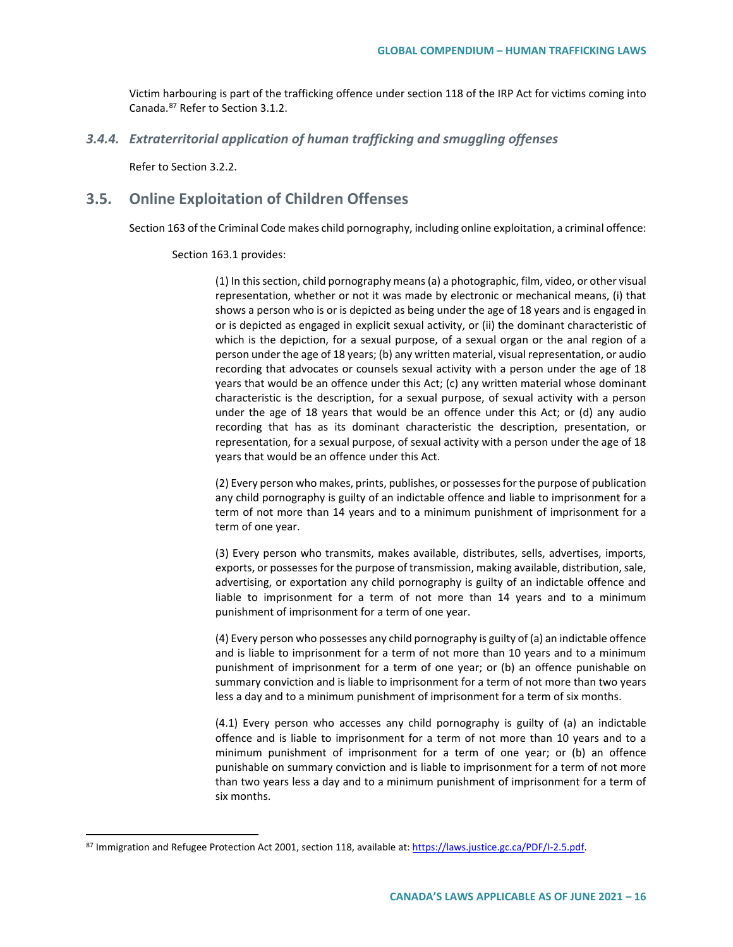Victim harbouring is part of the trafficking offence under section 118 of the IRP Act for victims coming into Canada.[87](#page-15-0) Refer to Section 3.1.2.

#### *3.4.4. Extraterritorial application of human trafficking and smuggling offenses*

Refer to Section 3.2.2.

## **3.5. Online Exploitation of Children Offenses**

Section 163 of the Criminal Code makes child pornography, including online exploitation, a criminal offence:

Section 163.1 provides:

(1) In this section, child pornography means (a) a photographic, film, video, or other visual representation, whether or not it was made by electronic or mechanical means, (i) that shows a person who is or is depicted as being under the age of 18 years and is engaged in or is depicted as engaged in explicit sexual activity, or (ii) the dominant characteristic of which is the depiction, for a sexual purpose, of a sexual organ or the anal region of a person under the age of 18 years; (b) any written material, visual representation, or audio recording that advocates or counsels sexual activity with a person under the age of 18 years that would be an offence under this Act; (c) any written material whose dominant characteristic is the description, for a sexual purpose, of sexual activity with a person under the age of 18 years that would be an offence under this Act; or (d) any audio recording that has as its dominant characteristic the description, presentation, or representation, for a sexual purpose, of sexual activity with a person under the age of 18 years that would be an offence under this Act.

(2) Every person who makes, prints, publishes, or possesses for the purpose of publication any child pornography is guilty of an indictable offence and liable to imprisonment for a term of not more than 14 years and to a minimum punishment of imprisonment for a term of one year.

(3) Every person who transmits, makes available, distributes, sells, advertises, imports, exports, or possesses for the purpose of transmission, making available, distribution, sale, advertising, or exportation any child pornography is guilty of an indictable offence and liable to imprisonment for a term of not more than 14 years and to a minimum punishment of imprisonment for a term of one year.

(4) Every person who possesses any child pornography is guilty of (a) an indictable offence and is liable to imprisonment for a term of not more than 10 years and to a minimum punishment of imprisonment for a term of one year; or (b) an offence punishable on summary conviction and is liable to imprisonment for a term of not more than two years less a day and to a minimum punishment of imprisonment for a term of six months.

(4.1) Every person who accesses any child pornography is guilty of (a) an indictable offence and is liable to imprisonment for a term of not more than 10 years and to a minimum punishment of imprisonment for a term of one year; or (b) an offence punishable on summary conviction and is liable to imprisonment for a term of not more than two years less a day and to a minimum punishment of imprisonment for a term of six months.

<span id="page-15-0"></span><sup>87</sup> Immigration and Refugee Protection Act 2001, section 118, available at[: https://laws.justice.gc.ca/PDF/I-2.5.pdf.](https://laws.justice.gc.ca/PDF/I-2.5.pdf)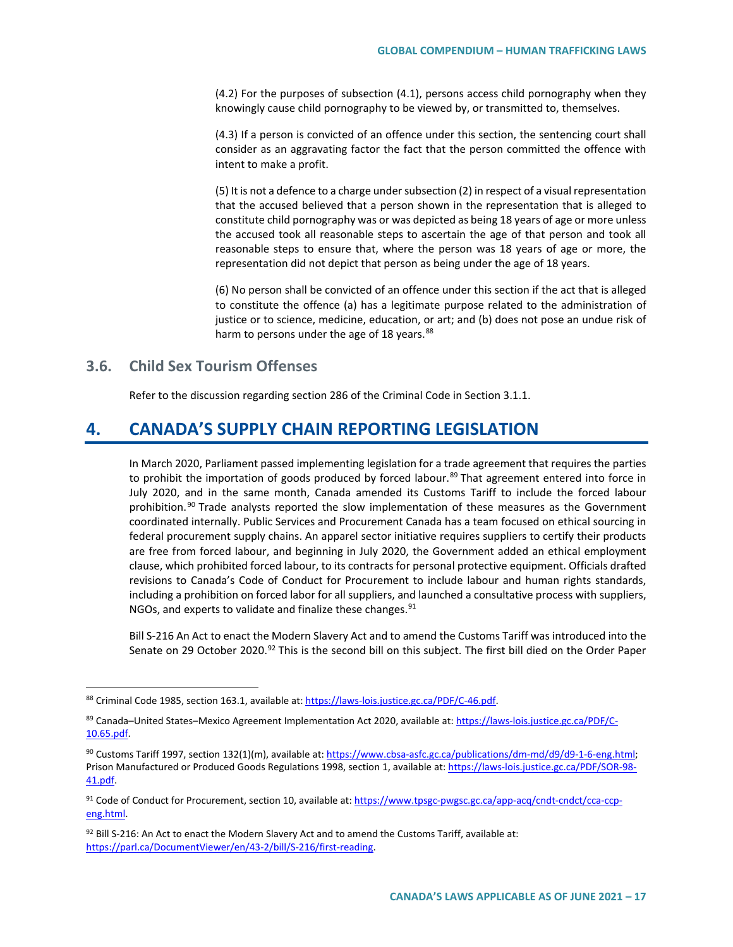(4.2) For the purposes of subsection (4.1), persons access child pornography when they knowingly cause child pornography to be viewed by, or transmitted to, themselves.

(4.3) If a person is convicted of an offence under this section, the sentencing court shall consider as an aggravating factor the fact that the person committed the offence with intent to make a profit.

(5) It is not a defence to a charge under subsection (2) in respect of a visual representation that the accused believed that a person shown in the representation that is alleged to constitute child pornography was or was depicted as being 18 years of age or more unless the accused took all reasonable steps to ascertain the age of that person and took all reasonable steps to ensure that, where the person was 18 years of age or more, the representation did not depict that person as being under the age of 18 years.

(6) No person shall be convicted of an offence under this section if the act that is alleged to constitute the offence (a) has a legitimate purpose related to the administration of justice or to science, medicine, education, or art; and (b) does not pose an undue risk of harm to persons under the age of 18 years.<sup>[88](#page-16-0)</sup>

## **3.6. Child Sex Tourism Offenses**

Refer to the discussion regarding section 286 of the Criminal Code in Section 3.1.1.

## **4. CANADA'S SUPPLY CHAIN REPORTING LEGISLATION**

In March 2020, Parliament passed implementing legislation for a trade agreement that requires the parties to prohibit the importation of goods produced by forced labour.<sup>[89](#page-16-1)</sup> That agreement entered into force in July 2020, and in the same month, Canada amended its Customs Tariff to include the forced labour prohibition.<sup>[90](#page-16-2)</sup> Trade analysts reported the slow implementation of these measures as the Government coordinated internally. Public Services and Procurement Canada has a team focused on ethical sourcing in federal procurement supply chains. An apparel sector initiative requires suppliers to certify their products are free from forced labour, and beginning in July 2020, the Government added an ethical employment clause, which prohibited forced labour, to its contracts for personal protective equipment. Officials drafted revisions to Canada's Code of Conduct for Procurement to include labour and human rights standards, including a prohibition on forced labor for all suppliers, and launched a consultative process with suppliers, NGOs, and experts to validate and finalize these changes. $91$ 

Bill S-216 An Act to enact the Modern Slavery Act and to amend the Customs Tariff was introduced into the Senate on 29 October 2020.<sup>[92](#page-16-4)</sup> This is the second bill on this subject. The first bill died on the Order Paper

<span id="page-16-0"></span><sup>88</sup> Criminal Code 1985, section 163.1, available at[: https://laws-lois.justice.gc.ca/PDF/C-46.pdf.](https://laws-lois.justice.gc.ca/PDF/C-46.pdf)

<span id="page-16-1"></span><sup>89</sup> Canada–United States–Mexico Agreement Implementation Act 2020, available at[: https://laws-lois.justice.gc.ca/PDF/C-](https://laws-lois.justice.gc.ca/PDF/C-10.65.pdf)[10.65.pdf.](https://laws-lois.justice.gc.ca/PDF/C-10.65.pdf)

<span id="page-16-2"></span><sup>90</sup> Customs Tariff 1997, section 132(1)(m), available at: [https://www.cbsa-asfc.gc.ca/publications/dm-md/d9/d9-1-6-eng.html;](https://www.cbsa-asfc.gc.ca/publications/dm-md/d9/d9-1-6-eng.html) Prison Manufactured or Produced Goods Regulations 1998, section 1, available at[: https://laws-lois.justice.gc.ca/PDF/SOR-98-](https://laws-lois.justice.gc.ca/PDF/SOR-98-41.pdf) [41.pdf.](https://laws-lois.justice.gc.ca/PDF/SOR-98-41.pdf) 

<span id="page-16-3"></span><sup>91</sup> Code of Conduct for Procurement, section 10, available at[: https://www.tpsgc-pwgsc.gc.ca/app-acq/cndt-cndct/cca-ccp](https://www.tpsgc-pwgsc.gc.ca/app-acq/cndt-cndct/cca-ccp-eng.html)[eng.html.](https://www.tpsgc-pwgsc.gc.ca/app-acq/cndt-cndct/cca-ccp-eng.html)

<span id="page-16-4"></span><sup>92</sup> Bill S-216: An Act to enact the Modern Slavery Act and to amend the Customs Tariff, available at: [https://parl.ca/DocumentViewer/en/43-2/bill/S-216/first-reading.](https://parl.ca/DocumentViewer/en/43-2/bill/S-216/first-reading)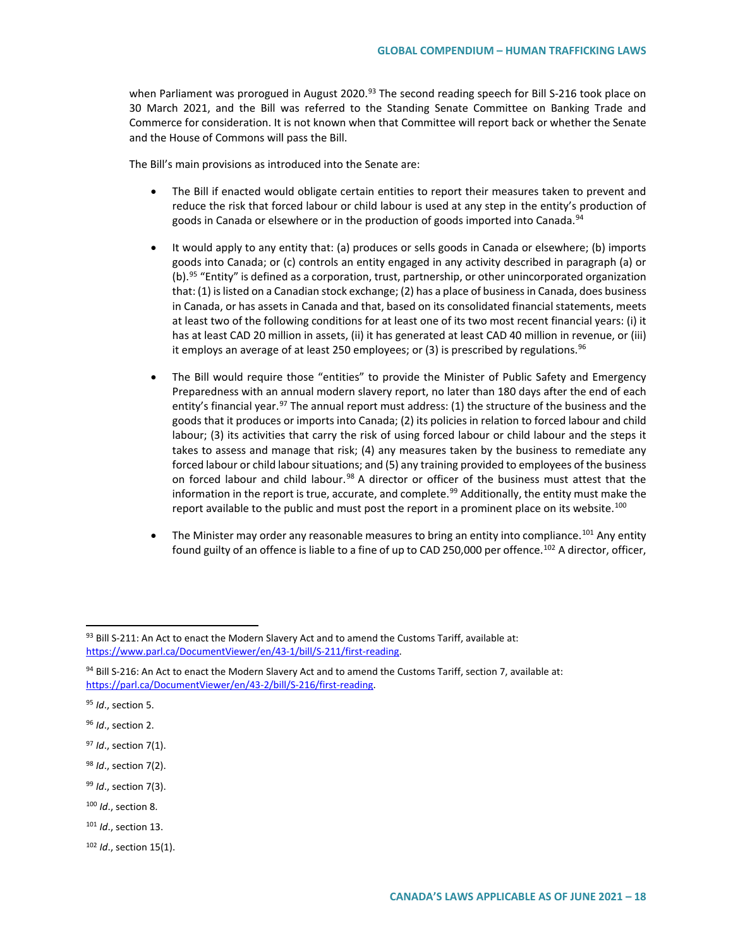when Parliament was prorogued in August 2020.<sup>[93](#page-17-0)</sup> The second reading speech for Bill S-216 took place on 30 March 2021, and the Bill was referred to the Standing Senate Committee on Banking Trade and Commerce for consideration. It is not known when that Committee will report back or whether the Senate and the House of Commons will pass the Bill.

The Bill's main provisions as introduced into the Senate are:

- The Bill if enacted would obligate certain entities to report their measures taken to prevent and reduce the risk that forced labour or child labour is used at any step in the entity's production of goods in Canada or elsewhere or in the production of goods imported into Canada.<sup>[94](#page-17-1)</sup>
- It would apply to any entity that: (a) produces or sells goods in Canada or elsewhere; (b) imports goods into Canada; or (c) controls an entity engaged in any activity described in paragraph (a) or (b).[95](#page-17-2) "Entity" is defined as a corporation, trust, partnership, or other unincorporated organization that: (1) is listed on a Canadian stock exchange; (2) has a place of business in Canada, does business in Canada, or has assets in Canada and that, based on its consolidated financial statements, meets at least two of the following conditions for at least one of its two most recent financial years: (i) it has at least CAD 20 million in assets, (ii) it has generated at least CAD 40 million in revenue, or (iii) it employs an average of at least 250 employees; or (3) is prescribed by regulations.<sup>[96](#page-17-3)</sup>
- The Bill would require those "entities" to provide the Minister of Public Safety and Emergency Preparedness with an annual modern slavery report, no later than 180 days after the end of each entity's financial year.<sup>[97](#page-17-4)</sup> The annual report must address: (1) the structure of the business and the goods that it produces or imports into Canada; (2) its policies in relation to forced labour and child labour; (3) its activities that carry the risk of using forced labour or child labour and the steps it takes to assess and manage that risk; (4) any measures taken by the business to remediate any forced labour or child labour situations; and (5) any training provided to employees of the business on forced labour and child labour.<sup>[98](#page-17-5)</sup> A director or officer of the business must attest that the information in the report is true, accurate, and complete.<sup>[99](#page-17-6)</sup> Additionally, the entity must make the report available to the public and must post the report in a prominent place on its website.<sup>[100](#page-17-7)</sup>
- The Minister may order any reasonable measures to bring an entity into compliance.<sup>[101](#page-17-8)</sup> Any entity found guilty of an offence is liable to a fine of up to CAD 250,000 per offence.<sup>[102](#page-17-9)</sup> A director, officer,

- <span id="page-17-6"></span><sup>99</sup> *Id*., section 7(3).
- <span id="page-17-7"></span><sup>100</sup> *Id*., section 8.
- <span id="page-17-8"></span><sup>101</sup> *Id*., section 13.

<span id="page-17-0"></span><sup>93</sup> Bill S-211: An Act to enact the Modern Slavery Act and to amend the Customs Tariff, available at: [https://www.parl.ca/DocumentViewer/en/43-1/bill/S-211/first-reading.](https://www.parl.ca/DocumentViewer/en/43-1/bill/S-211/first-reading) 

<span id="page-17-1"></span><sup>94</sup> Bill S-216: An Act to enact the Modern Slavery Act and to amend the Customs Tariff, section 7, available at: [https://parl.ca/DocumentViewer/en/43-2/bill/S-216/first-reading.](https://parl.ca/DocumentViewer/en/43-2/bill/S-216/first-reading)

<span id="page-17-2"></span><sup>95</sup> *Id*., section 5.

<span id="page-17-3"></span><sup>96</sup> *Id*., section 2.

<span id="page-17-4"></span><sup>97</sup> *Id*., section 7(1).

<span id="page-17-5"></span><sup>98</sup> *Id*., section 7(2).

<span id="page-17-9"></span><sup>102</sup> *Id*., section 15(1).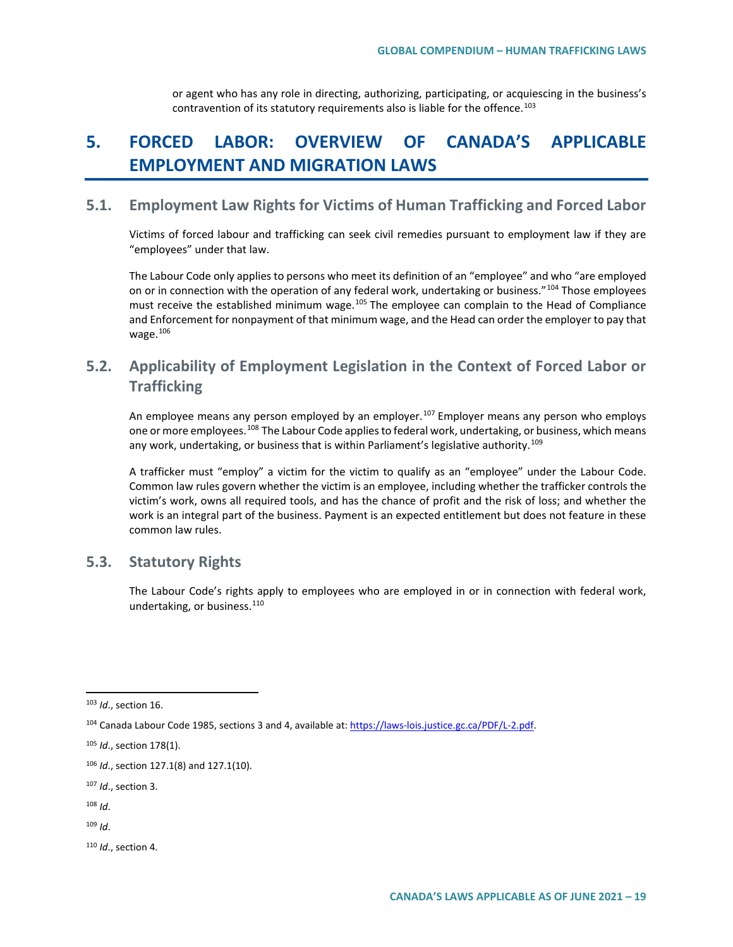or agent who has any role in directing, authorizing, participating, or acquiescing in the business's contravention of its statutory requirements also is liable for the offence.<sup>[103](#page-18-0)</sup>

# **5. FORCED LABOR: OVERVIEW OF CANADA'S APPLICABLE EMPLOYMENT AND MIGRATION LAWS**

### **5.1. Employment Law Rights for Victims of Human Trafficking and Forced Labor**

Victims of forced labour and trafficking can seek civil remedies pursuant to employment law if they are "employees" under that law.

The Labour Code only applies to persons who meet its definition of an "employee" and who "are employed on or in connection with the operation of any federal work, undertaking or business."<sup>[104](#page-18-1)</sup> Those employees must receive the established minimum wage.<sup>[105](#page-18-2)</sup> The employee can complain to the Head of Compliance and Enforcement for nonpayment of that minimum wage, and the Head can order the employer to pay that wage.[106](#page-18-3)

## **5.2. Applicability of Employment Legislation in the Context of Forced Labor or Trafficking**

An employee means any person employed by an employer.<sup>[107](#page-18-4)</sup> Employer means any person who employs one or more employees.<sup>[108](#page-18-5)</sup> The Labour Code applies to federal work, undertaking, or business, which means any work, undertaking, or business that is within Parliament's legislative authority.<sup>[109](#page-18-6)</sup>

A trafficker must "employ" a victim for the victim to qualify as an "employee" under the Labour Code. Common law rules govern whether the victim is an employee, including whether the trafficker controls the victim's work, owns all required tools, and has the chance of profit and the risk of loss; and whether the work is an integral part of the business. Payment is an expected entitlement but does not feature in these common law rules.

## **5.3. Statutory Rights**

The Labour Code's rights apply to employees who are employed in or in connection with federal work, undertaking, or business.<sup>[110](#page-18-7)</sup>

<span id="page-18-0"></span> <sup>103</sup> *Id*., section 16.

<span id="page-18-1"></span><sup>104</sup> Canada Labour Code 1985, sections 3 and 4, available at[: https://laws-lois.justice.gc.ca/PDF/L-2.pdf.](https://laws-lois.justice.gc.ca/PDF/L-2.pdf)

<span id="page-18-2"></span><sup>105</sup> *Id*., section 178(1).

<span id="page-18-3"></span><sup>106</sup> *Id*., section 127.1(8) and 127.1(10).

<span id="page-18-4"></span><sup>107</sup> *Id*., section 3.

<span id="page-18-5"></span><sup>108</sup> *Id*.

<span id="page-18-6"></span><sup>109</sup> *Id*.

<span id="page-18-7"></span><sup>110</sup> *Id*., section 4.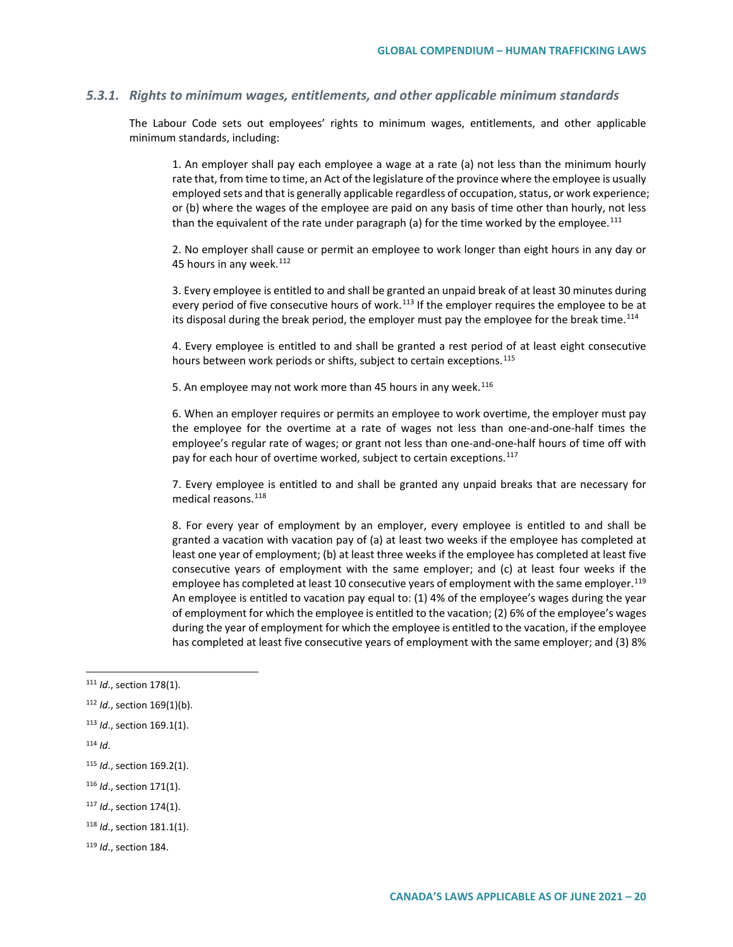#### *5.3.1. Rights to minimum wages, entitlements, and other applicable minimum standards*

The Labour Code sets out employees' rights to minimum wages, entitlements, and other applicable minimum standards, including:

1. An employer shall pay each employee a wage at a rate (a) not less than the minimum hourly rate that, from time to time, an Act of the legislature of the province where the employee is usually employed sets and that is generally applicable regardless of occupation, status, or work experience; or (b) where the wages of the employee are paid on any basis of time other than hourly, not less than the equivalent of the rate under paragraph (a) for the time worked by the employee.<sup>[111](#page-19-0)</sup>

2. No employer shall cause or permit an employee to work longer than eight hours in any day or 45 hours in any week.<sup>[112](#page-19-1)</sup>

3. Every employee is entitled to and shall be granted an unpaid break of at least 30 minutes during every period of five consecutive hours of work.<sup>[113](#page-19-2)</sup> If the employer requires the employee to be at its disposal during the break period, the employer must pay the employee for the break time.<sup>[114](#page-19-3)</sup>

4. Every employee is entitled to and shall be granted a rest period of at least eight consecutive hours between work periods or shifts, subject to certain exceptions.<sup>[115](#page-19-4)</sup>

5. An employee may not work more than 45 hours in any week.<sup>[116](#page-19-5)</sup>

6. When an employer requires or permits an employee to work overtime, the employer must pay the employee for the overtime at a rate of wages not less than one-and-one-half times the employee's regular rate of wages; or grant not less than one-and-one-half hours of time off with pay for each hour of overtime worked, subject to certain exceptions.<sup>[117](#page-19-6)</sup>

7. Every employee is entitled to and shall be granted any unpaid breaks that are necessary for medical reasons.<sup>[118](#page-19-7)</sup>

8. For every year of employment by an employer, every employee is entitled to and shall be granted a vacation with vacation pay of (a) at least two weeks if the employee has completed at least one year of employment; (b) at least three weeks if the employee has completed at least five consecutive years of employment with the same employer; and (c) at least four weeks if the employee has completed at least 10 consecutive years of employment with the same employer.<sup>[119](#page-19-8)</sup> An employee is entitled to vacation pay equal to: (1) 4% of the employee's wages during the year of employment for which the employee is entitled to the vacation; (2) 6% of the employee's wages during the year of employment for which the employee is entitled to the vacation, if the employee has completed at least five consecutive years of employment with the same employer; and (3) 8%

<span id="page-19-0"></span> <sup>111</sup> *Id*., section 178(1).

<span id="page-19-1"></span><sup>112</sup> *Id*., section 169(1)(b).

<span id="page-19-2"></span><sup>113</sup> *Id*., section 169.1(1).

<span id="page-19-3"></span><sup>114</sup> *Id*.

<span id="page-19-4"></span><sup>115</sup> *Id*., section 169.2(1).

<span id="page-19-5"></span><sup>116</sup> *Id*., section 171(1).

<span id="page-19-6"></span><sup>117</sup> *Id*., section 174(1).

<span id="page-19-7"></span><sup>118</sup> *Id*., section 181.1(1).

<span id="page-19-8"></span><sup>119</sup> *Id*., section 184.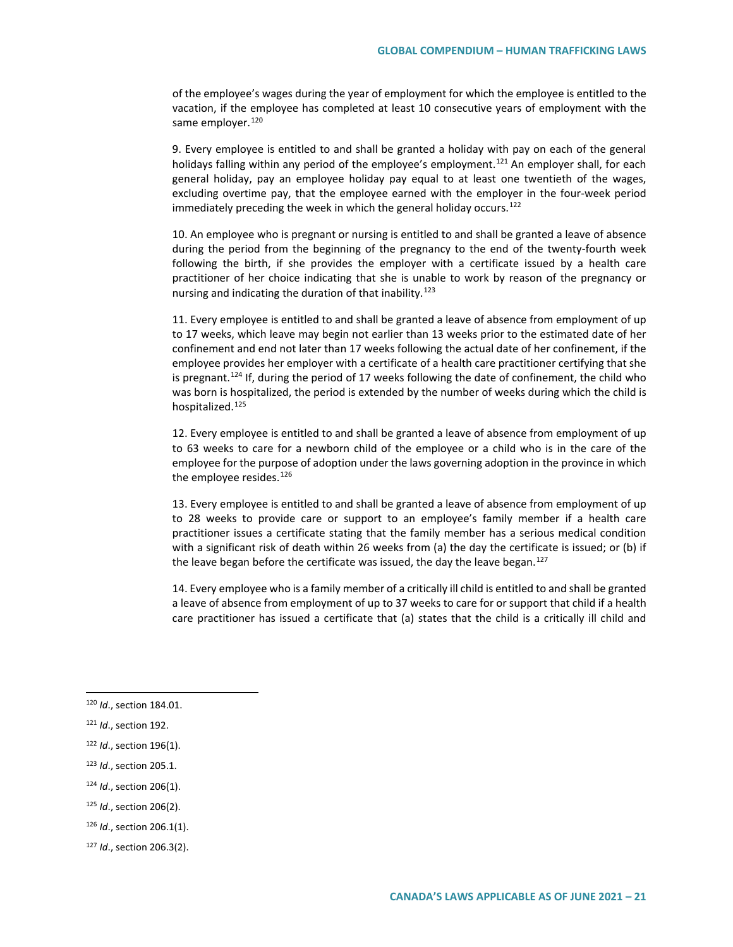of the employee's wages during the year of employment for which the employee is entitled to the vacation, if the employee has completed at least 10 consecutive years of employment with the same employer.<sup>[120](#page-20-0)</sup>

9. Every employee is entitled to and shall be granted a holiday with pay on each of the general holidays falling within any period of the employee's employment.<sup>[121](#page-20-1)</sup> An employer shall, for each general holiday, pay an employee holiday pay equal to at least one twentieth of the wages, excluding overtime pay, that the employee earned with the employer in the four-week period immediately preceding the week in which the general holiday occurs.<sup>[122](#page-20-2)</sup>

10. An employee who is pregnant or nursing is entitled to and shall be granted a leave of absence during the period from the beginning of the pregnancy to the end of the twenty-fourth week following the birth, if she provides the employer with a certificate issued by a health care practitioner of her choice indicating that she is unable to work by reason of the pregnancy or nursing and indicating the duration of that inability.<sup>[123](#page-20-3)</sup>

11. Every employee is entitled to and shall be granted a leave of absence from employment of up to 17 weeks, which leave may begin not earlier than 13 weeks prior to the estimated date of her confinement and end not later than 17 weeks following the actual date of her confinement, if the employee provides her employer with a certificate of a health care practitioner certifying that she is pregnant.<sup>[124](#page-20-4)</sup> If, during the period of 17 weeks following the date of confinement, the child who was born is hospitalized, the period is extended by the number of weeks during which the child is hospitalized.[125](#page-20-5)

12. Every employee is entitled to and shall be granted a leave of absence from employment of up to 63 weeks to care for a newborn child of the employee or a child who is in the care of the employee for the purpose of adoption under the laws governing adoption in the province in which the employee resides.<sup>[126](#page-20-6)</sup>

13. Every employee is entitled to and shall be granted a leave of absence from employment of up to 28 weeks to provide care or support to an employee's family member if a health care practitioner issues a certificate stating that the family member has a serious medical condition with a significant risk of death within 26 weeks from (a) the day the certificate is issued; or (b) if the leave began before the certificate was issued, the day the leave began.<sup>[127](#page-20-7)</sup>

14. Every employee who is a family member of a critically ill child is entitled to and shall be granted a leave of absence from employment of up to 37 weeks to care for or support that child if a health care practitioner has issued a certificate that (a) states that the child is a critically ill child and

<span id="page-20-4"></span><sup>124</sup> *Id*., section 206(1).

<span id="page-20-0"></span> <sup>120</sup> *Id*., section 184.01.

<span id="page-20-1"></span><sup>121</sup> *Id*., section 192.

<span id="page-20-2"></span><sup>122</sup> *Id*., section 196(1).

<span id="page-20-3"></span><sup>123</sup> *Id*., section 205.1.

<span id="page-20-5"></span><sup>125</sup> *Id*., section 206(2).

<span id="page-20-6"></span><sup>126</sup> *Id*., section 206.1(1).

<span id="page-20-7"></span><sup>127</sup> *Id*., section 206.3(2).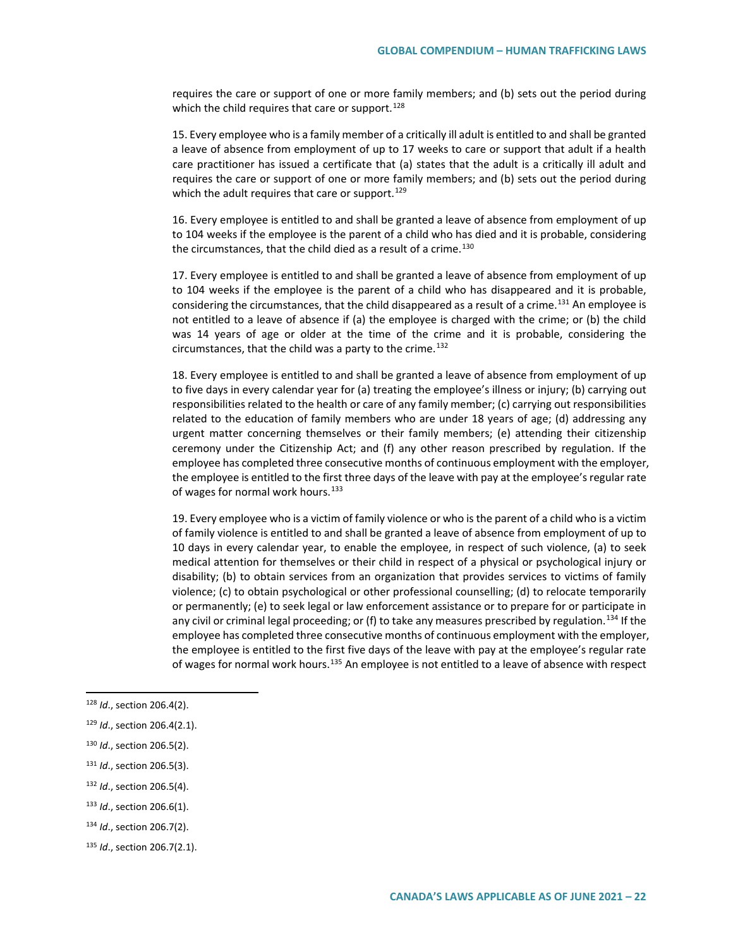requires the care or support of one or more family members; and (b) sets out the period during which the child requires that care or support.<sup>[128](#page-21-0)</sup>

15. Every employee who is a family member of a critically ill adult is entitled to and shall be granted a leave of absence from employment of up to 17 weeks to care or support that adult if a health care practitioner has issued a certificate that (a) states that the adult is a critically ill adult and requires the care or support of one or more family members; and (b) sets out the period during which the adult requires that care or support.<sup>[129](#page-21-1)</sup>

16. Every employee is entitled to and shall be granted a leave of absence from employment of up to 104 weeks if the employee is the parent of a child who has died and it is probable, considering the circumstances, that the child died as a result of a crime.<sup>[130](#page-21-2)</sup>

17. Every employee is entitled to and shall be granted a leave of absence from employment of up to 104 weeks if the employee is the parent of a child who has disappeared and it is probable, considering the circumstances, that the child disappeared as a result of a crime.<sup>[131](#page-21-3)</sup> An employee is not entitled to a leave of absence if (a) the employee is charged with the crime; or (b) the child was 14 years of age or older at the time of the crime and it is probable, considering the circumstances, that the child was a party to the crime.<sup>[132](#page-21-4)</sup>

18. Every employee is entitled to and shall be granted a leave of absence from employment of up to five days in every calendar year for (a) treating the employee's illness or injury; (b) carrying out responsibilities related to the health or care of any family member; (c) carrying out responsibilities related to the education of family members who are under 18 years of age; (d) addressing any urgent matter concerning themselves or their family members; (e) attending their citizenship ceremony under the Citizenship Act; and (f) any other reason prescribed by regulation. If the employee has completed three consecutive months of continuous employment with the employer, the employee is entitled to the first three days of the leave with pay at the employee's regular rate of wages for normal work hours.<sup>[133](#page-21-5)</sup>

19. Every employee who is a victim of family violence or who is the parent of a child who is a victim of family violence is entitled to and shall be granted a leave of absence from employment of up to 10 days in every calendar year, to enable the employee, in respect of such violence, (a) to seek medical attention for themselves or their child in respect of a physical or psychological injury or disability; (b) to obtain services from an organization that provides services to victims of family violence; (c) to obtain psychological or other professional counselling; (d) to relocate temporarily or permanently; (e) to seek legal or law enforcement assistance or to prepare for or participate in any civil or criminal legal proceeding; or (f) to take any measures prescribed by regulation.<sup>[134](#page-21-6)</sup> If the employee has completed three consecutive months of continuous employment with the employer, the employee is entitled to the first five days of the leave with pay at the employee's regular rate of wages for normal work hours.<sup>[135](#page-21-7)</sup> An employee is not entitled to a leave of absence with respect

<span id="page-21-4"></span><sup>132</sup> *Id*., section 206.5(4).

<span id="page-21-0"></span> <sup>128</sup> *Id*., section 206.4(2).

<span id="page-21-1"></span><sup>129</sup> *Id*., section 206.4(2.1).

<span id="page-21-2"></span><sup>130</sup> *Id*., section 206.5(2).

<span id="page-21-3"></span><sup>131</sup> *Id*., section 206.5(3).

<span id="page-21-5"></span><sup>133</sup> *Id*., section 206.6(1).

<span id="page-21-6"></span><sup>134</sup> *Id*., section 206.7(2).

<span id="page-21-7"></span><sup>135</sup> *Id*., section 206.7(2.1).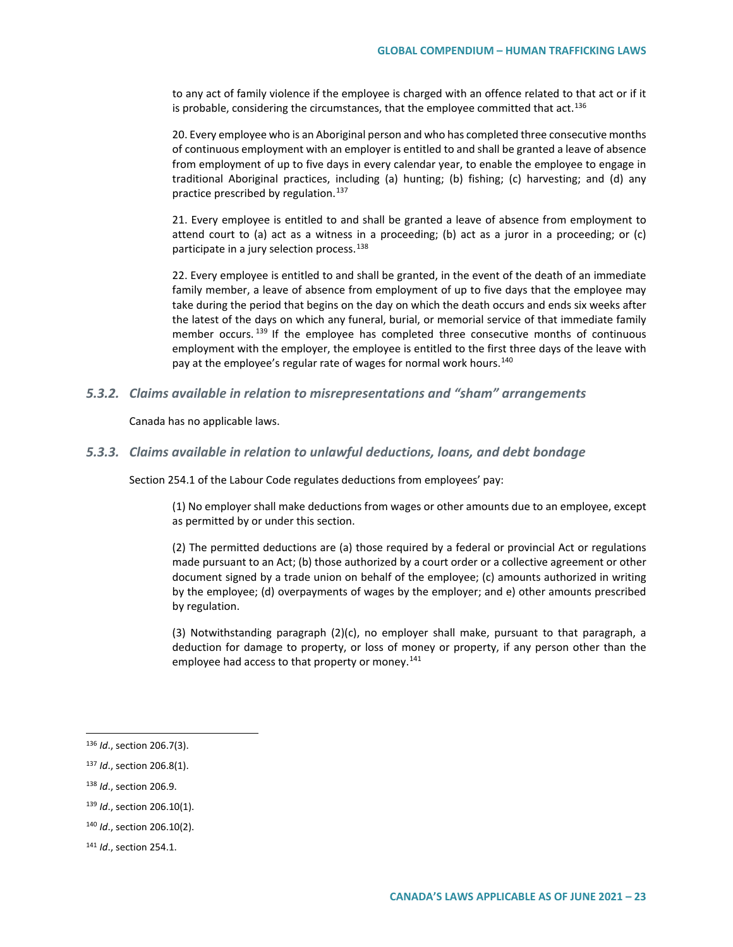to any act of family violence if the employee is charged with an offence related to that act or if it is probable, considering the circumstances, that the employee committed that  $act.^{136}$  $act.^{136}$  $act.^{136}$ 

20. Every employee who is an Aboriginal person and who has completed three consecutive months of continuous employment with an employer is entitled to and shall be granted a leave of absence from employment of up to five days in every calendar year, to enable the employee to engage in traditional Aboriginal practices, including (a) hunting; (b) fishing; (c) harvesting; and (d) any practice prescribed by regulation.[137](#page-22-1)

21. Every employee is entitled to and shall be granted a leave of absence from employment to attend court to (a) act as a witness in a proceeding; (b) act as a juror in a proceeding; or (c) participate in a jury selection process.<sup>[138](#page-22-2)</sup>

22. Every employee is entitled to and shall be granted, in the event of the death of an immediate family member, a leave of absence from employment of up to five days that the employee may take during the period that begins on the day on which the death occurs and ends six weeks after the latest of the days on which any funeral, burial, or memorial service of that immediate family member occurs.<sup>[139](#page-22-3)</sup> If the employee has completed three consecutive months of continuous employment with the employer, the employee is entitled to the first three days of the leave with pay at the employee's regular rate of wages for normal work hours.<sup>[140](#page-22-4)</sup>

#### *5.3.2. Claims available in relation to misrepresentations and "sham" arrangements*

Canada has no applicable laws.

#### *5.3.3. Claims available in relation to unlawful deductions, loans, and debt bondage*

Section 254.1 of the Labour Code regulates deductions from employees' pay:

(1) No employer shall make deductions from wages or other amounts due to an employee, except as permitted by or under this section.

(2) The permitted deductions are (a) those required by a federal or provincial Act or regulations made pursuant to an Act; (b) those authorized by a court order or a collective agreement or other document signed by a trade union on behalf of the employee; (c) amounts authorized in writing by the employee; (d) overpayments of wages by the employer; and e) other amounts prescribed by regulation.

(3) Notwithstanding paragraph (2)(c), no employer shall make, pursuant to that paragraph, a deduction for damage to property, or loss of money or property, if any person other than the employee had access to that property or money.<sup>[141](#page-22-5)</sup>

<span id="page-22-0"></span> <sup>136</sup> *Id*., section 206.7(3).

<span id="page-22-1"></span><sup>137</sup> *Id*., section 206.8(1).

<span id="page-22-2"></span><sup>138</sup> *Id*., section 206.9.

<span id="page-22-3"></span><sup>139</sup> *Id*., section 206.10(1).

<span id="page-22-4"></span><sup>140</sup> *Id*., section 206.10(2).

<span id="page-22-5"></span><sup>141</sup> *Id*., section 254.1.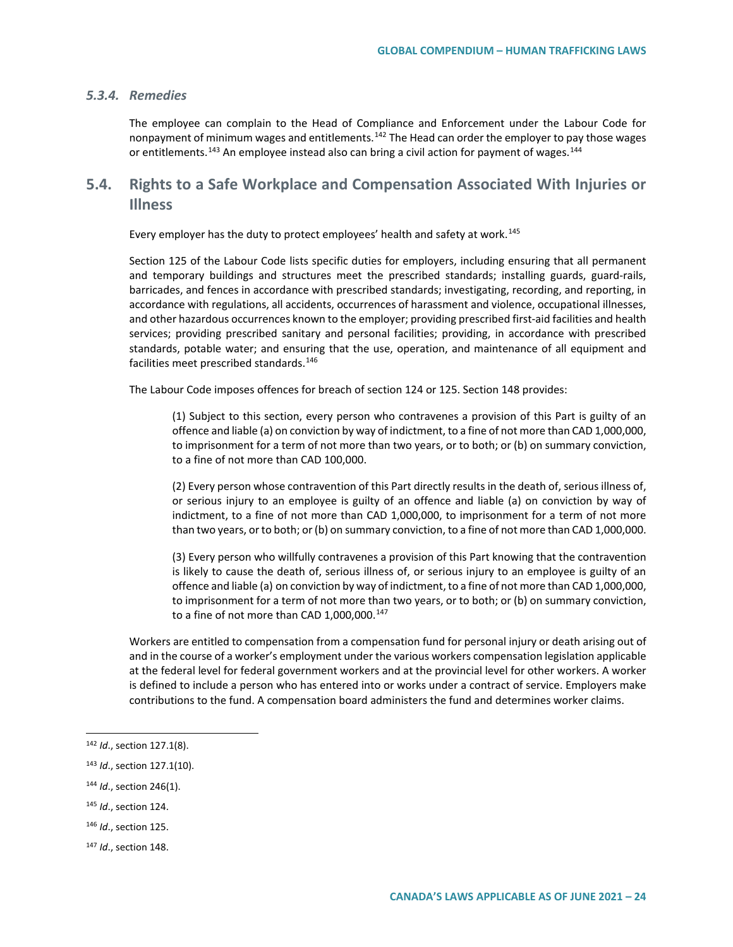#### *5.3.4. Remedies*

The employee can complain to the Head of Compliance and Enforcement under the Labour Code for nonpayment of minimum wages and entitlements.<sup>[142](#page-23-0)</sup> The Head can order the employer to pay those wages or entitlements.<sup>[143](#page-23-1)</sup> An employee instead also can bring a civil action for payment of wages.<sup>[144](#page-23-2)</sup>

## **5.4. Rights to a Safe Workplace and Compensation Associated With Injuries or Illness**

Every employer has the duty to protect employees' health and safety at work.<sup>[145](#page-23-3)</sup>

Section 125 of the Labour Code lists specific duties for employers, including ensuring that all permanent and temporary buildings and structures meet the prescribed standards; installing guards, guard-rails, barricades, and fences in accordance with prescribed standards; investigating, recording, and reporting, in accordance with regulations, all accidents, occurrences of harassment and violence, occupational illnesses, and other hazardous occurrences known to the employer; providing prescribed first-aid facilities and health services; providing prescribed sanitary and personal facilities; providing, in accordance with prescribed standards, potable water; and ensuring that the use, operation, and maintenance of all equipment and facilities meet prescribed standards.<sup>[146](#page-23-4)</sup>

The Labour Code imposes offences for breach of section 124 or 125. Section 148 provides:

(1) Subject to this section, every person who contravenes a provision of this Part is guilty of an offence and liable (a) on conviction by way of indictment, to a fine of not more than CAD 1,000,000, to imprisonment for a term of not more than two years, or to both; or (b) on summary conviction, to a fine of not more than CAD 100,000.

(2) Every person whose contravention of this Part directly results in the death of, serious illness of, or serious injury to an employee is guilty of an offence and liable (a) on conviction by way of indictment, to a fine of not more than CAD 1,000,000, to imprisonment for a term of not more than two years, or to both; or (b) on summary conviction, to a fine of not more than CAD 1,000,000.

(3) Every person who willfully contravenes a provision of this Part knowing that the contravention is likely to cause the death of, serious illness of, or serious injury to an employee is guilty of an offence and liable (a) on conviction by way of indictment, to a fine of not more than CAD 1,000,000, to imprisonment for a term of not more than two years, or to both; or (b) on summary conviction, to a fine of not more than CAD 1,000,000. $147$ 

Workers are entitled to compensation from a compensation fund for personal injury or death arising out of and in the course of a worker's employment under the various workers compensation legislation applicable at the federal level for federal government workers and at the provincial level for other workers. A worker is defined to include a person who has entered into or works under a contract of service. Employers make contributions to the fund. A compensation board administers the fund and determines worker claims.

<span id="page-23-0"></span> <sup>142</sup> *Id*., section 127.1(8).

<span id="page-23-1"></span><sup>143</sup> *Id*., section 127.1(10).

<span id="page-23-2"></span><sup>144</sup> *Id*., section 246(1).

<span id="page-23-3"></span><sup>145</sup> *Id*., section 124.

<span id="page-23-4"></span><sup>146</sup> *Id*., section 125.

<span id="page-23-5"></span><sup>147</sup> *Id*., section 148.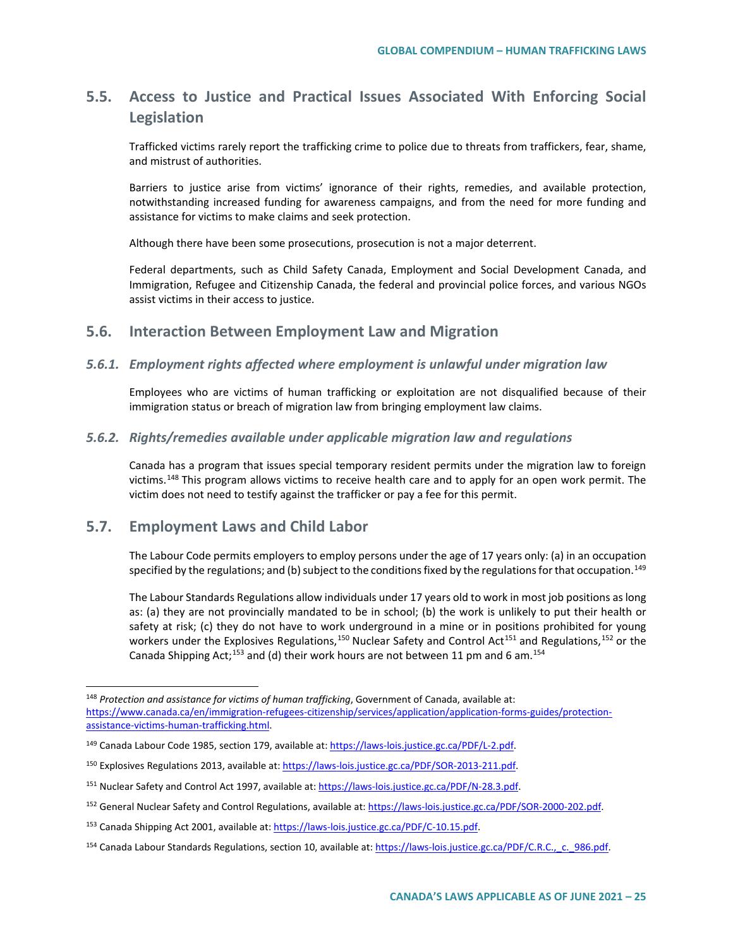## **5.5. Access to Justice and Practical Issues Associated With Enforcing Social Legislation**

Trafficked victims rarely report the trafficking crime to police due to threats from traffickers, fear, shame, and mistrust of authorities.

Barriers to justice arise from victims' ignorance of their rights, remedies, and available protection, notwithstanding increased funding for awareness campaigns, and from the need for more funding and assistance for victims to make claims and seek protection.

Although there have been some prosecutions, prosecution is not a major deterrent.

Federal departments, such as Child Safety Canada, Employment and Social Development Canada, and Immigration, Refugee and Citizenship Canada, the federal and provincial police forces, and various NGOs assist victims in their access to justice.

## **5.6. Interaction Between Employment Law and Migration**

#### *5.6.1. Employment rights affected where employment is unlawful under migration law*

Employees who are victims of human trafficking or exploitation are not disqualified because of their immigration status or breach of migration law from bringing employment law claims.

#### *5.6.2. Rights/remedies available under applicable migration law and regulations*

Canada has a program that issues special temporary resident permits under the migration law to foreign victims.<sup>[148](#page-24-0)</sup> This program allows victims to receive health care and to apply for an open work permit. The victim does not need to testify against the trafficker or pay a fee for this permit.

## **5.7. Employment Laws and Child Labor**

The Labour Code permits employers to employ persons under the age of 17 years only: (a) in an occupation specified by the regulations; and (b) subject to the conditions fixed by the regulations for that occupation.<sup>[149](#page-24-1)</sup>

The Labour Standards Regulations allow individuals under 17 years old to work in most job positions as long as: (a) they are not provincially mandated to be in school; (b) the work is unlikely to put their health or safety at risk; (c) they do not have to work underground in a mine or in positions prohibited for young workers under the Explosives Regulations,<sup>[150](#page-24-2)</sup> Nuclear Safety and Control Act<sup>[151](#page-24-3)</sup> and Regulations,<sup>[152](#page-24-4)</sup> or the Canada Shipping Act;<sup>[153](#page-24-5)</sup> and (d) their work hours are not between 11 pm and 6 am.<sup>[154](#page-24-6)</sup>

<span id="page-24-0"></span> <sup>148</sup> *Protection and assistance for victims of human trafficking*, Government of Canada, available at: [https://www.canada.ca/en/immigration-refugees-citizenship/services/application/application-forms-guides/protection](https://www.canada.ca/en/immigration-refugees-citizenship/services/application/application-forms-guides/protection-assistance-victims-human-trafficking.html)[assistance-victims-human-trafficking.html.](https://www.canada.ca/en/immigration-refugees-citizenship/services/application/application-forms-guides/protection-assistance-victims-human-trafficking.html)

<span id="page-24-1"></span><sup>149</sup> Canada Labour Code 1985, section 179, available at[: https://laws-lois.justice.gc.ca/PDF/L-2.pdf.](https://laws-lois.justice.gc.ca/PDF/L-2.pdf)

<span id="page-24-2"></span><sup>150</sup> Explosives Regulations 2013, available at[: https://laws-lois.justice.gc.ca/PDF/SOR-2013-211.pdf.](https://laws-lois.justice.gc.ca/PDF/SOR-2013-211.pdf)

<span id="page-24-3"></span><sup>151</sup> Nuclear Safety and Control Act 1997, available at[: https://laws-lois.justice.gc.ca/PDF/N-28.3.pdf.](https://laws-lois.justice.gc.ca/PDF/N-28.3.pdf)

<span id="page-24-4"></span><sup>152</sup> General Nuclear Safety and Control Regulations, available at[: https://laws-lois.justice.gc.ca/PDF/SOR-2000-202.pdf.](https://laws-lois.justice.gc.ca/PDF/SOR-2000-202.pdf) 

<span id="page-24-5"></span><sup>153</sup> Canada Shipping Act 2001, available at[: https://laws-lois.justice.gc.ca/PDF/C-10.15.pdf.](https://laws-lois.justice.gc.ca/PDF/C-10.15.pdf)

<span id="page-24-6"></span><sup>154</sup> Canada Labour Standards Regulations, section 10, available at: https://laws-lois.justice.gc.ca/PDF/C.R.C., c. 986.pdf.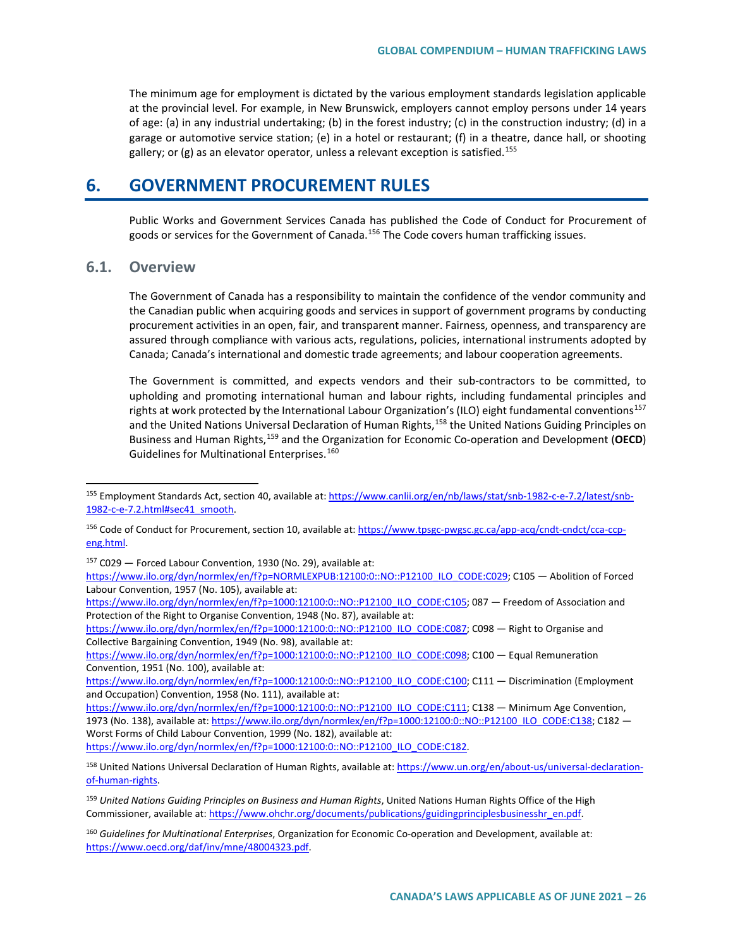The minimum age for employment is dictated by the various employment standards legislation applicable at the provincial level. For example, in New Brunswick, employers cannot employ persons under 14 years of age: (a) in any industrial undertaking; (b) in the forest industry; (c) in the construction industry; (d) in a garage or automotive service station; (e) in a hotel or restaurant; (f) in a theatre, dance hall, or shooting gallery; or (g) as an elevator operator, unless a relevant exception is satisfied.<sup>[155](#page-25-0)</sup>

## **6. GOVERNMENT PROCUREMENT RULES**

Public Works and Government Services Canada has published the Code of Conduct for Procurement of goods or services for the Government of Canada.<sup>[156](#page-25-1)</sup> The Code covers human trafficking issues.

#### **6.1. Overview**

The Government of Canada has a responsibility to maintain the confidence of the vendor community and the Canadian public when acquiring goods and services in support of government programs by conducting procurement activities in an open, fair, and transparent manner. Fairness, openness, and transparency are assured through compliance with various acts, regulations, policies, international instruments adopted by Canada; Canada's international and domestic trade agreements; and labour cooperation agreements.

The Government is committed, and expects vendors and their sub-contractors to be committed, to upholding and promoting international human and labour rights, including fundamental principles and rights at work protected by the International Labour Organization's (ILO) eight fundamental conventions<sup>[157](#page-25-2)</sup> and the United Nations Universal Declaration of Human Rights, <sup>[158](#page-25-3)</sup> the United Nations Guiding Principles on Business and Human Rights,[159](#page-25-4) and the Organization for Economic Co-operation and Development (**OECD**) Guidelines for Multinational Enterprises.<sup>[160](#page-25-5)</sup>

<span id="page-25-2"></span><sup>157</sup> C029 — Forced Labour Convention, 1930 (No. 29), available at:

[https://www.ilo.org/dyn/normlex/en/f?p=NORMLEXPUB:12100:0::NO::P12100\\_ILO\\_CODE:C029;](https://www.ilo.org/dyn/normlex/en/f?p=NORMLEXPUB:12100:0::NO::P12100_ILO_CODE:C029) C105 — Abolition of Forced Labour Convention, 1957 (No. 105), available at:

[https://www.ilo.org/dyn/normlex/en/f?p=1000:12100:0::NO::P12100\\_ILO\\_CODE:C105;](https://www.ilo.org/dyn/normlex/en/f?p=1000:12100:0::NO::P12100_ILO_CODE:C105) 087 — Freedom of Association and Protection of the Right to Organise Convention, 1948 (No. 87), available at:

[https://www.ilo.org/dyn/normlex/en/f?p=1000:12100:0::NO::P12100\\_ILO\\_CODE:C087;](https://www.ilo.org/dyn/normlex/en/f?p=1000:12100:0::NO::P12100_ILO_CODE:C087) C098 — Right to Organise and Collective Bargaining Convention, 1949 (No. 98), available at:

[https://www.ilo.org/dyn/normlex/en/f?p=1000:12100:0::NO::P12100\\_ILO\\_CODE:C098;](https://www.ilo.org/dyn/normlex/en/f?p=1000:12100:0::NO::P12100_ILO_CODE:C098) C100 — Equal Remuneration Convention, 1951 (No. 100), available at:

[https://www.ilo.org/dyn/normlex/en/f?p=1000:12100:0::NO::P12100\\_ILO\\_CODE:C100;](https://www.ilo.org/dyn/normlex/en/f?p=1000:12100:0::NO::P12100_ILO_CODE:C100) C111 — Discrimination (Employment and Occupation) Convention, 1958 (No. 111), available at:

[https://www.ilo.org/dyn/normlex/en/f?p=1000:12100:0::NO::P12100\\_ILO\\_CODE:C111;](https://www.ilo.org/dyn/normlex/en/f?p=1000:12100:0::NO::P12100_ILO_CODE:C111) C138 — Minimum Age Convention, 1973 (No. 138), available at: [https://www.ilo.org/dyn/normlex/en/f?p=1000:12100:0::NO::P12100\\_ILO\\_CODE:C138;](https://www.ilo.org/dyn/normlex/en/f?p=1000:12100:0::NO::P12100_ILO_CODE:C138) C182 — Worst Forms of Child Labour Convention, 1999 (No. 182), available at:

[https://www.ilo.org/dyn/normlex/en/f?p=1000:12100:0::NO::P12100\\_ILO\\_CODE:C182.](https://www.ilo.org/dyn/normlex/en/f?p=1000:12100:0::NO::P12100_ILO_CODE:C182)

<span id="page-25-3"></span>158 United Nations Universal Declaration of Human Rights, available at[: https://www.un.org/en/about-us/universal-declaration](https://www.un.org/en/about-us/universal-declaration-of-human-rights)[of-human-rights.](https://www.un.org/en/about-us/universal-declaration-of-human-rights) 

<span id="page-25-4"></span><sup>159</sup> *United Nations Guiding Principles on Business and Human Rights*, United Nations Human Rights Office of the High Commissioner, available at[: https://www.ohchr.org/documents/publications/guidingprinciplesbusinesshr\\_en.pdf.](https://www.ohchr.org/documents/publications/guidingprinciplesbusinesshr_en.pdf) 

<span id="page-25-5"></span><sup>160</sup> *Guidelines for Multinational Enterprises*, Organization for Economic Co-operation and Development, available at: [https://www.oecd.org/daf/inv/mne/48004323.pdf.](https://www.oecd.org/daf/inv/mne/48004323.pdf)

<span id="page-25-0"></span> <sup>155</sup> Employment Standards Act, section 40, available at: [https://www.canlii.org/en/nb/laws/stat/snb-1982-c-e-7.2/latest/snb-](https://www.canlii.org/en/nb/laws/stat/snb-1982-c-e-7.2/latest/snb-1982-c-e-7.2.html#sec41_smooth)[1982-c-e-7.2.html#sec41\\_smooth.](https://www.canlii.org/en/nb/laws/stat/snb-1982-c-e-7.2/latest/snb-1982-c-e-7.2.html#sec41_smooth) 

<span id="page-25-1"></span><sup>156</sup> Code of Conduct for Procurement, section 10, available at[: https://www.tpsgc-pwgsc.gc.ca/app-acq/cndt-cndct/cca-ccp](https://www.tpsgc-pwgsc.gc.ca/app-acq/cndt-cndct/cca-ccp-eng.html)[eng.html.](https://www.tpsgc-pwgsc.gc.ca/app-acq/cndt-cndct/cca-ccp-eng.html)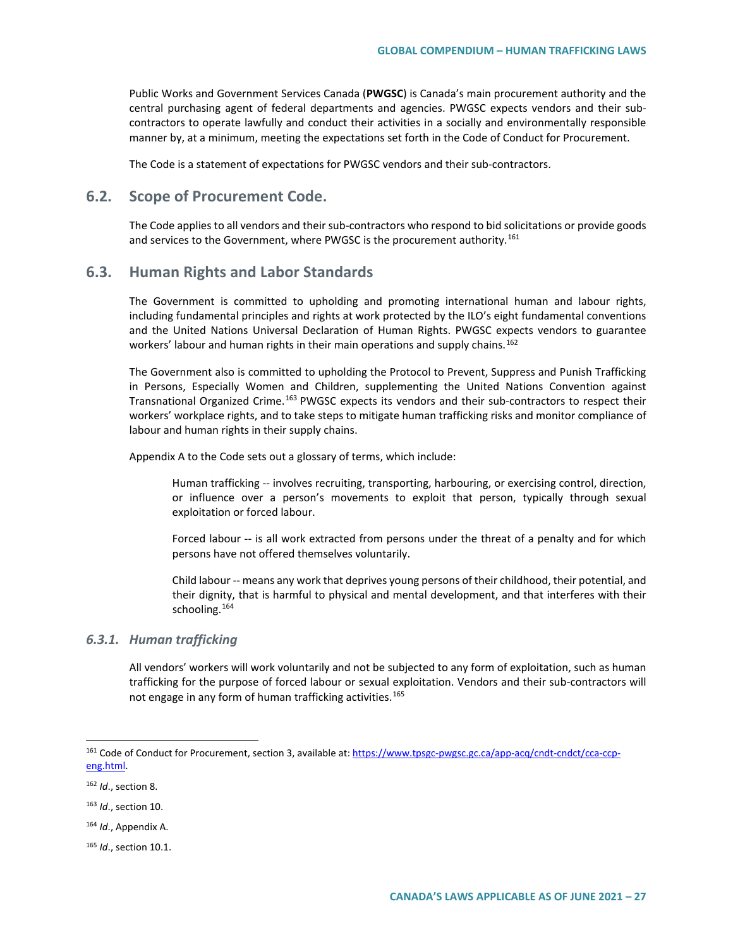Public Works and Government Services Canada (**PWGSC**) is Canada's main procurement authority and the central purchasing agent of federal departments and agencies. PWGSC expects vendors and their subcontractors to operate lawfully and conduct their activities in a socially and environmentally responsible manner by, at a minimum, meeting the expectations set forth in the Code of Conduct for Procurement.

The Code is a statement of expectations for PWGSC vendors and their sub-contractors.

#### **6.2. Scope of Procurement Code.**

The Code applies to all vendors and their sub-contractors who respond to bid solicitations or provide goods and services to the Government, where PWGSC is the procurement authority.<sup>[161](#page-26-0)</sup>

### **6.3. Human Rights and Labor Standards**

The Government is committed to upholding and promoting international human and labour rights, including fundamental principles and rights at work protected by the ILO's eight fundamental conventions and the United Nations Universal Declaration of Human Rights. PWGSC expects vendors to guarantee workers' labour and human rights in their main operations and supply chains.<sup>[162](#page-26-1)</sup>

The Government also is committed to upholding the Protocol to Prevent, Suppress and Punish Trafficking in Persons, Especially Women and Children, supplementing the United Nations Convention against Transnational Organized Crime.<sup>[163](#page-26-2)</sup> PWGSC expects its vendors and their sub-contractors to respect their workers' workplace rights, and to take steps to mitigate human trafficking risks and monitor compliance of labour and human rights in their supply chains.

Appendix A to the Code sets out a glossary of terms, which include:

Human trafficking -- involves recruiting, transporting, harbouring, or exercising control, direction, or influence over a person's movements to exploit that person, typically through sexual exploitation or forced labour.

Forced labour -- is all work extracted from persons under the threat of a penalty and for which persons have not offered themselves voluntarily.

Child labour -- means any work that deprives young persons of their childhood, their potential, and their dignity, that is harmful to physical and mental development, and that interferes with their schooling.[164](#page-26-3)

#### *6.3.1. Human trafficking*

All vendors' workers will work voluntarily and not be subjected to any form of exploitation, such as human trafficking for the purpose of forced labour or sexual exploitation. Vendors and their sub-contractors will not engage in any form of human trafficking activities.<sup>[165](#page-26-4)</sup>

- <span id="page-26-3"></span><sup>164</sup> *Id*., Appendix A.
- <span id="page-26-4"></span><sup>165</sup> *Id*., section 10.1.

<span id="page-26-0"></span><sup>161</sup> Code of Conduct for Procurement, section 3, available at[: https://www.tpsgc-pwgsc.gc.ca/app-acq/cndt-cndct/cca-ccp](https://www.tpsgc-pwgsc.gc.ca/app-acq/cndt-cndct/cca-ccp-eng.html)[eng.html.](https://www.tpsgc-pwgsc.gc.ca/app-acq/cndt-cndct/cca-ccp-eng.html)

<span id="page-26-1"></span><sup>162</sup> *Id*., section 8.

<span id="page-26-2"></span><sup>163</sup> *Id*., section 10.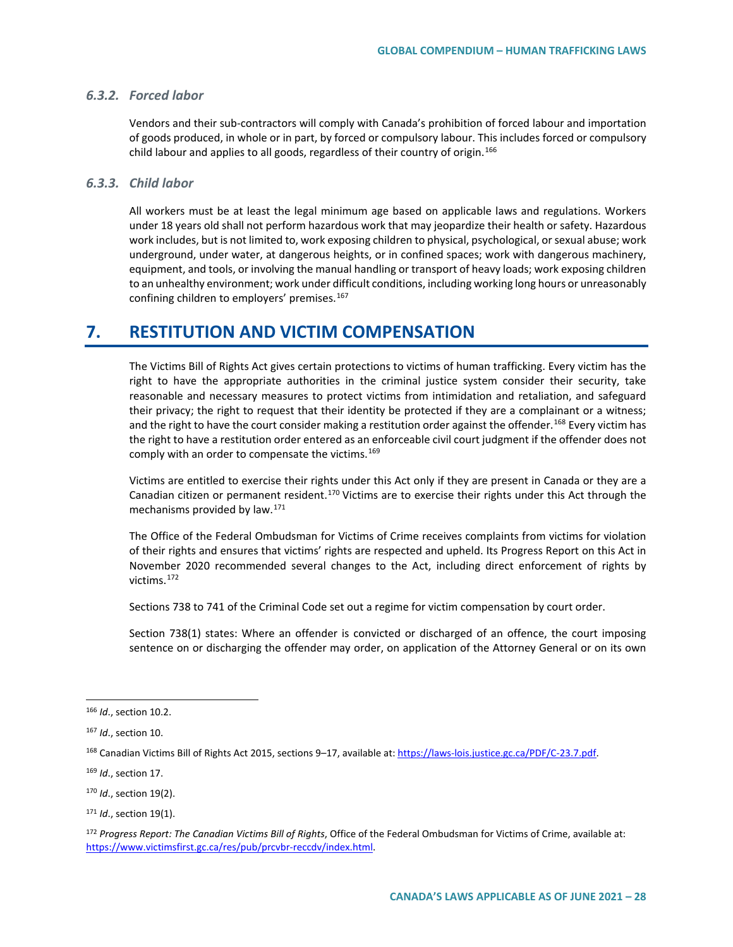#### *6.3.2. Forced labor*

Vendors and their sub-contractors will comply with Canada's prohibition of forced labour and importation of goods produced, in whole or in part, by forced or compulsory labour. This includes forced or compulsory child labour and applies to all goods, regardless of their country of origin.<sup>[166](#page-27-0)</sup>

#### *6.3.3. Child labor*

All workers must be at least the legal minimum age based on applicable laws and regulations. Workers under 18 years old shall not perform hazardous work that may jeopardize their health or safety. Hazardous work includes, but is not limited to, work exposing children to physical, psychological, or sexual abuse; work underground, under water, at dangerous heights, or in confined spaces; work with dangerous machinery, equipment, and tools, or involving the manual handling or transport of heavy loads; work exposing children to an unhealthy environment; work under difficult conditions, including working long hours or unreasonably confining children to employers' premises.<sup>[167](#page-27-1)</sup>

## **7. RESTITUTION AND VICTIM COMPENSATION**

The Victims Bill of Rights Act gives certain protections to victims of human trafficking. Every victim has the right to have the appropriate authorities in the criminal justice system consider their security, take reasonable and necessary measures to protect victims from intimidation and retaliation, and safeguard their privacy; the right to request that their identity be protected if they are a complainant or a witness; and the right to have the court consider making a restitution order against the offender.<sup>[168](#page-27-2)</sup> Every victim has the right to have a restitution order entered as an enforceable civil court judgment if the offender does not comply with an order to compensate the victims.<sup>[169](#page-27-3)</sup>

Victims are entitled to exercise their rights under this Act only if they are present in Canada or they are a Canadian citizen or permanent resident.<sup>[170](#page-27-4)</sup> Victims are to exercise their rights under this Act through the mechanisms provided by law.[171](#page-27-5)

The Office of the Federal Ombudsman for Victims of Crime receives complaints from victims for violation of their rights and ensures that victims' rights are respected and upheld. Its Progress Report on this Act in November 2020 recommended several changes to the Act, including direct enforcement of rights by victims.[172](#page-27-6)

Sections 738 to 741 of the Criminal Code set out a regime for victim compensation by court order.

Section 738(1) states: Where an offender is convicted or discharged of an offence, the court imposing sentence on or discharging the offender may order, on application of the Attorney General or on its own

<span id="page-27-0"></span> <sup>166</sup> *Id*., section 10.2.

<span id="page-27-1"></span><sup>167</sup> *Id*., section 10.

<span id="page-27-2"></span><sup>&</sup>lt;sup>168</sup> Canadian Victims Bill of Rights Act 2015, sections 9–17, available at[: https://laws-lois.justice.gc.ca/PDF/C-23.7.pdf.](https://laws-lois.justice.gc.ca/PDF/C-23.7.pdf)

<span id="page-27-3"></span><sup>169</sup> *Id*., section 17.

<span id="page-27-4"></span><sup>170</sup> *Id*., section 19(2).

<span id="page-27-5"></span><sup>171</sup> *Id*., section 19(1).

<span id="page-27-6"></span><sup>172</sup> *Progress Report: The Canadian Victims Bill of Rights*, Office of the Federal Ombudsman for Victims of Crime, available at: [https://www.victimsfirst.gc.ca/res/pub/prcvbr-reccdv/index.html.](https://www.victimsfirst.gc.ca/res/pub/prcvbr-reccdv/index.html)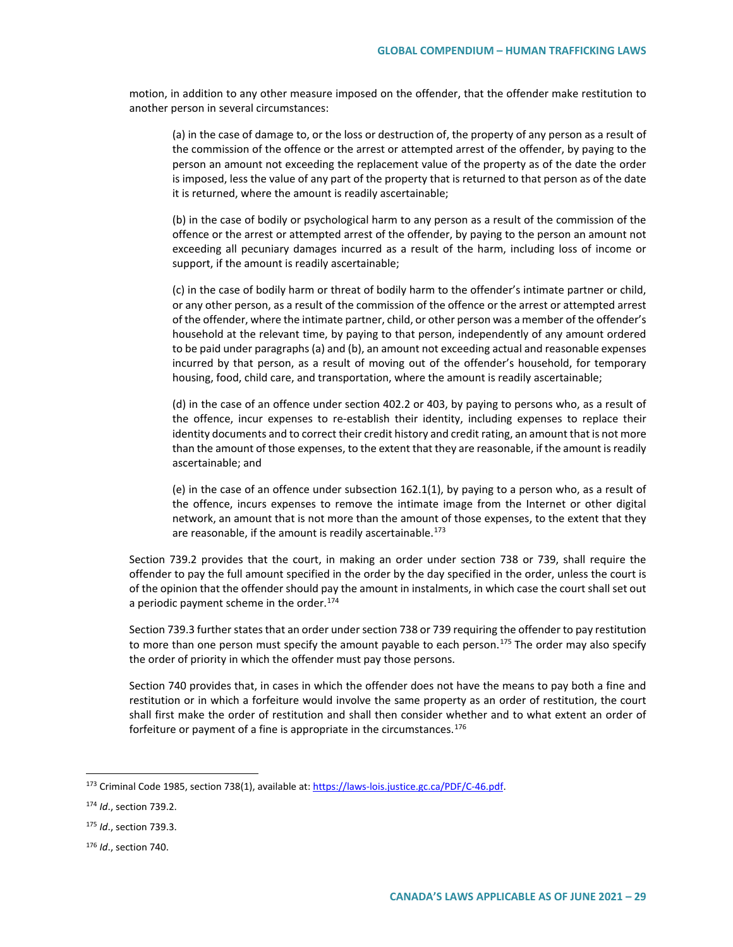motion, in addition to any other measure imposed on the offender, that the offender make restitution to another person in several circumstances:

(a) in the case of damage to, or the loss or destruction of, the property of any person as a result of the commission of the offence or the arrest or attempted arrest of the offender, by paying to the person an amount not exceeding the replacement value of the property as of the date the order is imposed, less the value of any part of the property that is returned to that person as of the date it is returned, where the amount is readily ascertainable;

(b) in the case of bodily or psychological harm to any person as a result of the commission of the offence or the arrest or attempted arrest of the offender, by paying to the person an amount not exceeding all pecuniary damages incurred as a result of the harm, including loss of income or support, if the amount is readily ascertainable;

(c) in the case of bodily harm or threat of bodily harm to the offender's intimate partner or child, or any other person, as a result of the commission of the offence or the arrest or attempted arrest of the offender, where the intimate partner, child, or other person was a member of the offender's household at the relevant time, by paying to that person, independently of any amount ordered to be paid under paragraphs (a) and (b), an amount not exceeding actual and reasonable expenses incurred by that person, as a result of moving out of the offender's household, for temporary housing, food, child care, and transportation, where the amount is readily ascertainable;

(d) in the case of an offence under section 402.2 or 403, by paying to persons who, as a result of the offence, incur expenses to re-establish their identity, including expenses to replace their identity documents and to correct their credit history and credit rating, an amount that is not more than the amount of those expenses, to the extent that they are reasonable, if the amount is readily ascertainable; and

(e) in the case of an offence under subsection 162.1(1), by paying to a person who, as a result of the offence, incurs expenses to remove the intimate image from the Internet or other digital network, an amount that is not more than the amount of those expenses, to the extent that they are reasonable, if the amount is readily ascertainable.<sup>[173](#page-28-0)</sup>

Section 739.2 provides that the court, in making an order under section 738 or 739, shall require the offender to pay the full amount specified in the order by the day specified in the order, unless the court is of the opinion that the offender should pay the amount in instalments, in which case the court shall set out a periodic payment scheme in the order.<sup>174</sup>

Section 739.3 further states that an order under section 738 or 739 requiring the offender to pay restitution to more than one person must specify the amount payable to each person.<sup>[175](#page-28-2)</sup> The order may also specify the order of priority in which the offender must pay those persons.

Section 740 provides that, in cases in which the offender does not have the means to pay both a fine and restitution or in which a forfeiture would involve the same property as an order of restitution, the court shall first make the order of restitution and shall then consider whether and to what extent an order of forfeiture or payment of a fine is appropriate in the circumstances.<sup>[176](#page-28-3)</sup>

<span id="page-28-0"></span> <sup>173</sup> Criminal Code 1985, section 738(1), available at[: https://laws-lois.justice.gc.ca/PDF/C-46.pdf.](https://laws-lois.justice.gc.ca/PDF/C-46.pdf)

<span id="page-28-1"></span><sup>174</sup> *Id*., section 739.2.

<span id="page-28-2"></span><sup>175</sup> *Id*., section 739.3.

<span id="page-28-3"></span><sup>176</sup> *Id*., section 740.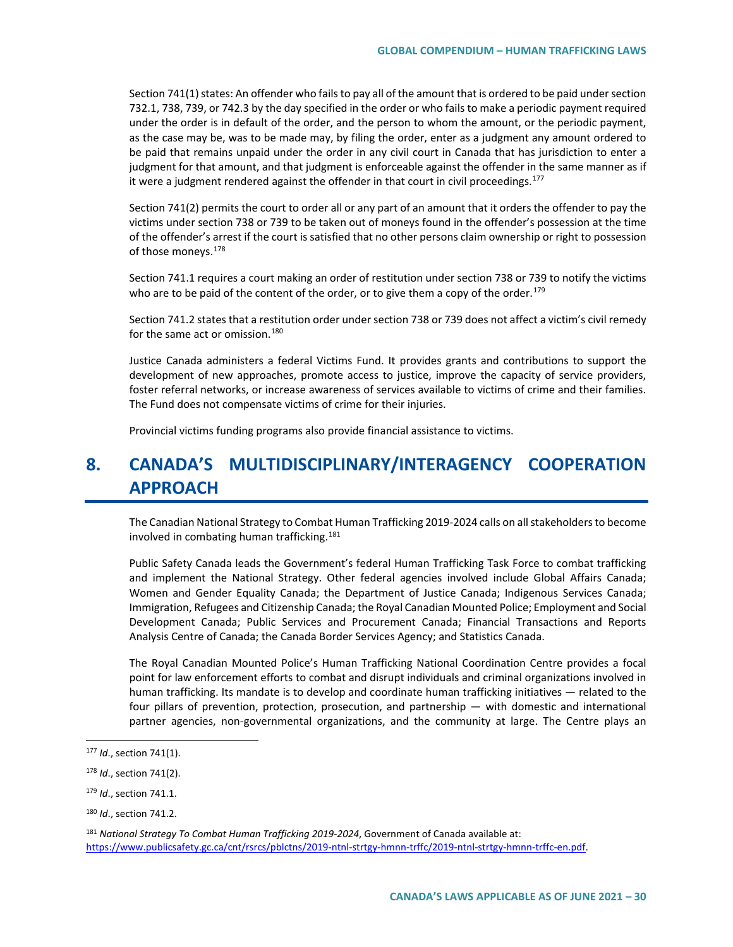Section 741(1) states: An offender who fails to pay all of the amount that is ordered to be paid under section 732.1, 738, 739, or 742.3 by the day specified in the order or who fails to make a periodic payment required under the order is in default of the order, and the person to whom the amount, or the periodic payment, as the case may be, was to be made may, by filing the order, enter as a judgment any amount ordered to be paid that remains unpaid under the order in any civil court in Canada that has jurisdiction to enter a judgment for that amount, and that judgment is enforceable against the offender in the same manner as if it were a judgment rendered against the offender in that court in civil proceedings.<sup>[177](#page-29-0)</sup>

Section 741(2) permits the court to order all or any part of an amount that it orders the offender to pay the victims under section 738 or 739 to be taken out of moneys found in the offender's possession at the time of the offender's arrest if the court is satisfied that no other persons claim ownership or right to possession of those moneys.<sup>[178](#page-29-1)</sup>

Section 741.1 requires a court making an order of restitution under section 738 or 739 to notify the victims who are to be paid of the content of the order, or to give them a copy of the order.<sup>[179](#page-29-2)</sup>

Section 741.2 states that a restitution order under section 738 or 739 does not affect a victim's civil remedy for the same act or omission.<sup>[180](#page-29-3)</sup>

Justice Canada administers a federal Victims Fund. It provides grants and contributions to support the development of new approaches, promote access to justice, improve the capacity of service providers, foster referral networks, or increase awareness of services available to victims of crime and their families. The Fund does not compensate victims of crime for their injuries.

Provincial victims funding programs also provide financial assistance to victims.

# **8. CANADA'S MULTIDISCIPLINARY/INTERAGENCY COOPERATION APPROACH**

The Canadian National Strategy to Combat Human Trafficking 2019-2024 calls on all stakeholders to become involved in combating human trafficking.<sup>[181](#page-29-4)</sup>

Public Safety Canada leads the Government's federal Human Trafficking Task Force to combat trafficking and implement the National Strategy. Other federal agencies involved include Global Affairs Canada; Women and Gender Equality Canada; the Department of Justice Canada; Indigenous Services Canada; Immigration, Refugees and Citizenship Canada; the Royal Canadian Mounted Police; Employment and Social Development Canada; Public Services and Procurement Canada; Financial Transactions and Reports Analysis Centre of Canada; the Canada Border Services Agency; and Statistics Canada.

The Royal Canadian Mounted Police's Human Trafficking National Coordination Centre provides a focal point for law enforcement efforts to combat and disrupt individuals and criminal organizations involved in human trafficking. Its mandate is to develop and coordinate human trafficking initiatives — related to the four pillars of prevention, protection, prosecution, and partnership — with domestic and international partner agencies, non-governmental organizations, and the community at large. The Centre plays an

<span id="page-29-0"></span> <sup>177</sup> *Id*., section 741(1).

<span id="page-29-1"></span><sup>178</sup> *Id*., section 741(2).

<span id="page-29-2"></span><sup>179</sup> *Id*., section 741.1.

<span id="page-29-3"></span><sup>180</sup> *Id*., section 741.2.

<span id="page-29-4"></span><sup>181</sup> *National Strategy To Combat Human Trafficking 2019-2024*, Government of Canada available at: [https://www.publicsafety.gc.ca/cnt/rsrcs/pblctns/2019-ntnl-strtgy-hmnn-trffc/2019-ntnl-strtgy-hmnn-trffc-en.pdf.](https://www.publicsafety.gc.ca/cnt/rsrcs/pblctns/2019-ntnl-strtgy-hmnn-trffc/2019-ntnl-strtgy-hmnn-trffc-en.pdf)